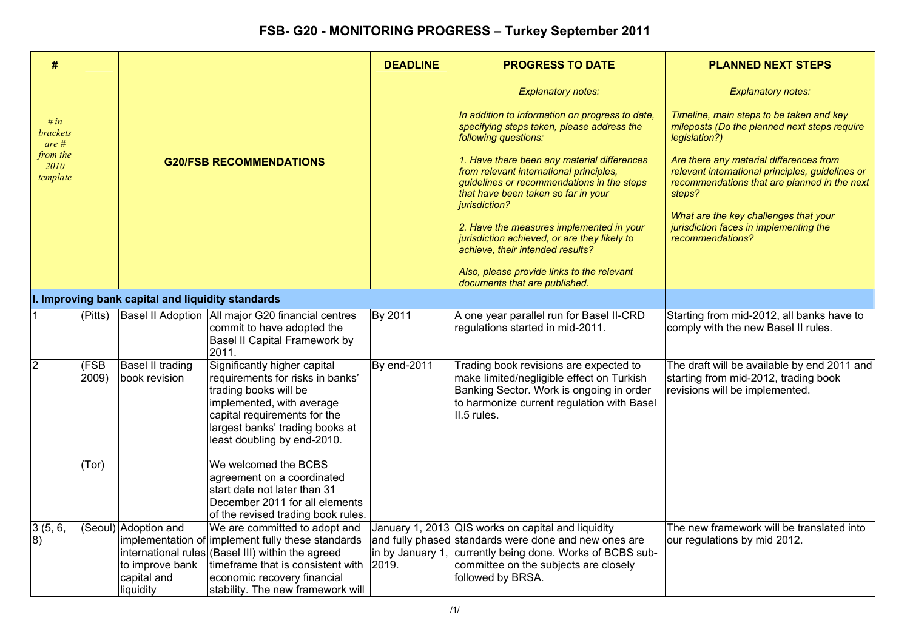| #                            |               |                                                                     |                                                                                                                                                                                                                                                  | <b>DEADLINE</b> | <b>PROGRESS TO DATE</b>                                                                                                                                                                                                                | <b>PLANNED NEXT STEPS</b>                                                                                                                             |
|------------------------------|---------------|---------------------------------------------------------------------|--------------------------------------------------------------------------------------------------------------------------------------------------------------------------------------------------------------------------------------------------|-----------------|----------------------------------------------------------------------------------------------------------------------------------------------------------------------------------------------------------------------------------------|-------------------------------------------------------------------------------------------------------------------------------------------------------|
|                              |               |                                                                     |                                                                                                                                                                                                                                                  |                 | <b>Explanatory notes:</b>                                                                                                                                                                                                              | <b>Explanatory notes:</b>                                                                                                                             |
| # in<br>brackets<br>$are \#$ |               |                                                                     |                                                                                                                                                                                                                                                  |                 | In addition to information on progress to date,<br>specifying steps taken, please address the<br>following questions:                                                                                                                  | Timeline, main steps to be taken and key<br>mileposts (Do the planned next steps require<br>legislation?)                                             |
| from the<br>2010<br>template |               |                                                                     | <b>G20/FSB RECOMMENDATIONS</b>                                                                                                                                                                                                                   |                 | 1. Have there been any material differences<br>from relevant international principles,<br>guidelines or recommendations in the steps<br>that have been taken so far in your<br>jurisdiction?                                           | Are there any material differences from<br>relevant international principles, guidelines or<br>recommendations that are planned in the next<br>steps? |
|                              |               |                                                                     |                                                                                                                                                                                                                                                  |                 | 2. Have the measures implemented in your<br>jurisdiction achieved, or are they likely to<br>achieve, their intended results?                                                                                                           | What are the key challenges that your<br>jurisdiction faces in implementing the<br>recommendations?                                                   |
|                              |               |                                                                     |                                                                                                                                                                                                                                                  |                 | Also, please provide links to the relevant<br>documents that are published.                                                                                                                                                            |                                                                                                                                                       |
|                              |               | I. Improving bank capital and liquidity standards                   |                                                                                                                                                                                                                                                  |                 |                                                                                                                                                                                                                                        |                                                                                                                                                       |
|                              | (Pitts)       |                                                                     | Basel II Adoption   All major G20 financial centres<br>commit to have adopted the<br>Basel II Capital Framework by<br>2011.                                                                                                                      | By 2011         | A one year parallel run for Basel II-CRD<br>regulations started in mid-2011.                                                                                                                                                           | Starting from mid-2012, all banks have to<br>comply with the new Basel II rules.                                                                      |
| 2                            | (FSB<br>2009) | Basel II trading<br>book revision                                   | Significantly higher capital<br>requirements for risks in banks'<br>trading books will be<br>implemented, with average<br>capital requirements for the<br>largest banks' trading books at<br>least doubling by end-2010.                         | By end-2011     | Trading book revisions are expected to<br>make limited/negligible effect on Turkish<br>Banking Sector. Work is ongoing in order<br>to harmonize current regulation with Basel<br>II.5 rules.                                           | The draft will be available by end 2011 and<br>starting from mid-2012, trading book<br>revisions will be implemented.                                 |
|                              | (Tor)         |                                                                     | We welcomed the BCBS<br>agreement on a coordinated<br>start date not later than 31<br>December 2011 for all elements<br>of the revised trading book rules.                                                                                       |                 |                                                                                                                                                                                                                                        |                                                                                                                                                       |
| 3(5, 6,<br>8)                |               | (Seoul) Adoption and<br>to improve bank<br>capital and<br>liquidity | We are committed to adopt and<br>implementation of implement fully these standards<br>international rules (Basel III) within the agreed<br>timeframe that is consistent with<br>economic recovery financial<br>stability. The new framework will | 2019.           | January 1, 2013 QIS works on capital and liquidity<br>and fully phased standards were done and new ones are<br>in by January 1, currently being done. Works of BCBS sub-<br>committee on the subjects are closely<br>followed by BRSA. | The new framework will be translated into<br>our regulations by mid 2012.                                                                             |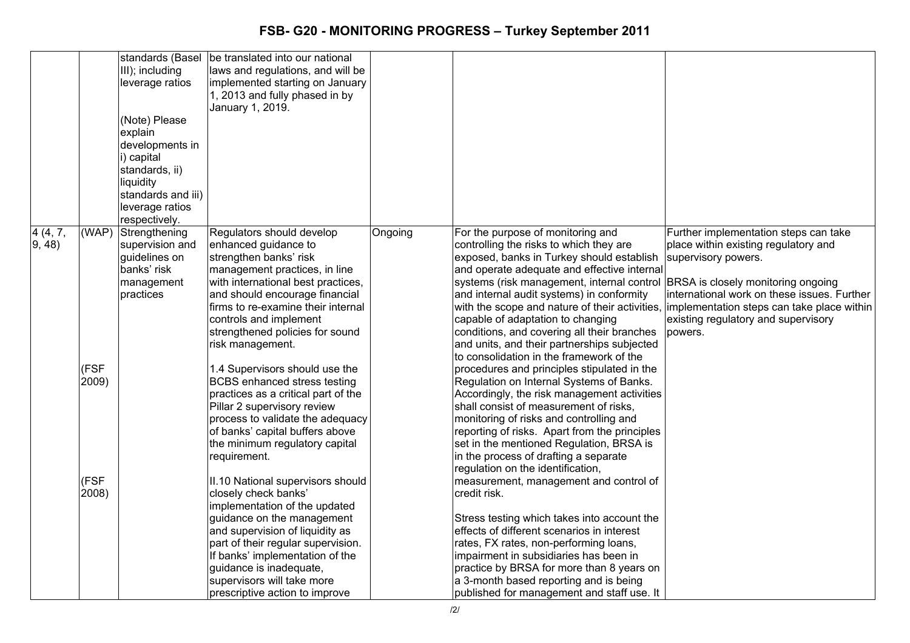|                   |                        | standards (Basel<br>III); including<br>leverage ratios<br>(Note) Please<br>explain<br>developments in<br>i) capital<br>standards, ii)<br>liquidity<br>standards and iii)<br>leverage ratios<br>respectively. | be translated into our national<br>laws and regulations, and will be<br>implemented starting on January<br>1, 2013 and fully phased in by<br>January 1, 2019.                                                                                                                                                                                                                                                                                                                                  |         |                                                                                                                                                                                                                                                                                                                                                                                                                                                                                                                                                                                                                                                                                                                                                                                                                     |                                                                                                                                                                                                        |
|-------------------|------------------------|--------------------------------------------------------------------------------------------------------------------------------------------------------------------------------------------------------------|------------------------------------------------------------------------------------------------------------------------------------------------------------------------------------------------------------------------------------------------------------------------------------------------------------------------------------------------------------------------------------------------------------------------------------------------------------------------------------------------|---------|---------------------------------------------------------------------------------------------------------------------------------------------------------------------------------------------------------------------------------------------------------------------------------------------------------------------------------------------------------------------------------------------------------------------------------------------------------------------------------------------------------------------------------------------------------------------------------------------------------------------------------------------------------------------------------------------------------------------------------------------------------------------------------------------------------------------|--------------------------------------------------------------------------------------------------------------------------------------------------------------------------------------------------------|
| 4 (4, 7,<br>9, 48 | (WAP)<br>(FSF<br>2009) | Strengthening<br>supervision and<br>guidelines on<br>banks' risk<br>management<br>practices                                                                                                                  | Regulators should develop<br>enhanced guidance to<br>strengthen banks' risk<br>management practices, in line<br>with international best practices,<br>and should encourage financial<br>firms to re-examine their internal<br>controls and implement<br>strengthened policies for sound<br>risk management.<br>1.4 Supervisors should use the<br><b>BCBS</b> enhanced stress testing<br>practices as a critical part of the<br>Pillar 2 supervisory review<br>process to validate the adequacy | Ongoing | For the purpose of monitoring and<br>controlling the risks to which they are<br>exposed, banks in Turkey should establish<br>and operate adequate and effective internal<br>systems (risk management, internal control  BRSA is closely monitoring ongoing<br>and internal audit systems) in conformity<br>with the scope and nature of their activities, limplementation steps can take place within<br>capable of adaptation to changing<br>conditions, and covering all their branches<br>and units, and their partnerships subjected<br>to consolidation in the framework of the<br>procedures and principles stipulated in the<br>Regulation on Internal Systems of Banks.<br>Accordingly, the risk management activities<br>shall consist of measurement of risks,<br>monitoring of risks and controlling and | Further implementation steps can take<br>place within existing regulatory and<br>supervisory powers.<br>international work on these issues. Further<br>existing regulatory and supervisory<br>lpowers. |
|                   | (FSF<br>2008)          |                                                                                                                                                                                                              | of banks' capital buffers above<br>the minimum regulatory capital<br>requirement.<br>II.10 National supervisors should<br>closely check banks'<br>implementation of the updated<br>guidance on the management<br>and supervision of liquidity as<br>part of their regular supervision.<br>If banks' implementation of the<br>guidance is inadequate,<br>supervisors will take more<br>prescriptive action to improve                                                                           |         | reporting of risks. Apart from the principles<br>set in the mentioned Regulation, BRSA is<br>in the process of drafting a separate<br>regulation on the identification,<br>measurement, management and control of<br>credit risk.<br>Stress testing which takes into account the<br>effects of different scenarios in interest<br>rates, FX rates, non-performing loans,<br>impairment in subsidiaries has been in<br>practice by BRSA for more than 8 years on<br>a 3-month based reporting and is being<br>published for management and staff use. It                                                                                                                                                                                                                                                             |                                                                                                                                                                                                        |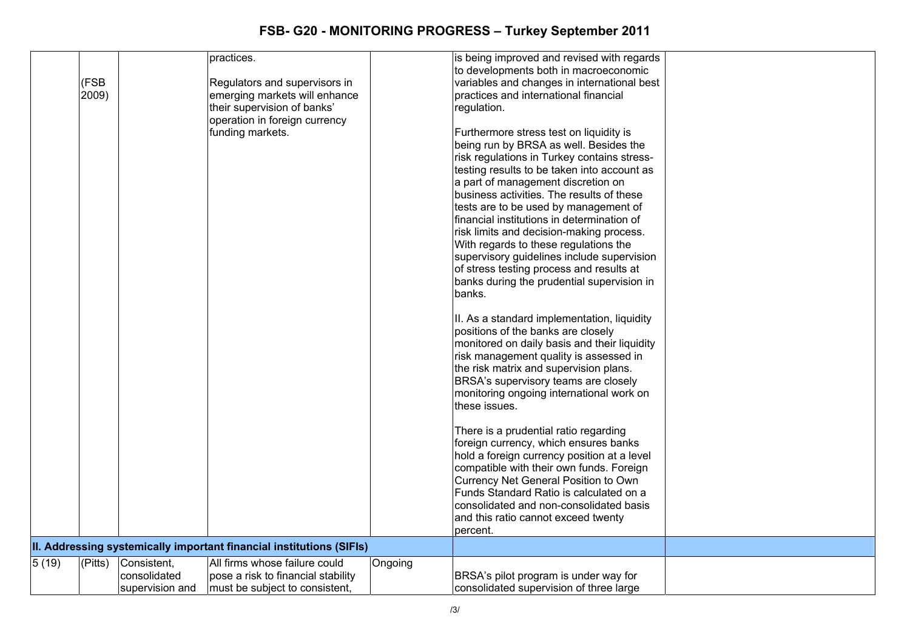|        |         |                 | practices.                                                           |         | is being improved and revised with regards   |  |
|--------|---------|-----------------|----------------------------------------------------------------------|---------|----------------------------------------------|--|
|        |         |                 |                                                                      |         | to developments both in macroeconomic        |  |
|        | (FSB    |                 | Regulators and supervisors in                                        |         | variables and changes in international best  |  |
|        | 2009)   |                 | emerging markets will enhance                                        |         | practices and international financial        |  |
|        |         |                 | their supervision of banks'                                          |         | regulation.                                  |  |
|        |         |                 | operation in foreign currency                                        |         |                                              |  |
|        |         |                 | funding markets.                                                     |         | Furthermore stress test on liquidity is      |  |
|        |         |                 |                                                                      |         | being run by BRSA as well. Besides the       |  |
|        |         |                 |                                                                      |         | risk regulations in Turkey contains stress-  |  |
|        |         |                 |                                                                      |         | testing results to be taken into account as  |  |
|        |         |                 |                                                                      |         | a part of management discretion on           |  |
|        |         |                 |                                                                      |         |                                              |  |
|        |         |                 |                                                                      |         | business activities. The results of these    |  |
|        |         |                 |                                                                      |         | tests are to be used by management of        |  |
|        |         |                 |                                                                      |         | financial institutions in determination of   |  |
|        |         |                 |                                                                      |         | risk limits and decision-making process.     |  |
|        |         |                 |                                                                      |         | With regards to these regulations the        |  |
|        |         |                 |                                                                      |         | supervisory guidelines include supervision   |  |
|        |         |                 |                                                                      |         | of stress testing process and results at     |  |
|        |         |                 |                                                                      |         | banks during the prudential supervision in   |  |
|        |         |                 |                                                                      |         | banks.                                       |  |
|        |         |                 |                                                                      |         | II. As a standard implementation, liquidity  |  |
|        |         |                 |                                                                      |         | positions of the banks are closely           |  |
|        |         |                 |                                                                      |         |                                              |  |
|        |         |                 |                                                                      |         | monitored on daily basis and their liquidity |  |
|        |         |                 |                                                                      |         | risk management quality is assessed in       |  |
|        |         |                 |                                                                      |         | the risk matrix and supervision plans.       |  |
|        |         |                 |                                                                      |         | BRSA's supervisory teams are closely         |  |
|        |         |                 |                                                                      |         | monitoring ongoing international work on     |  |
|        |         |                 |                                                                      |         | these issues.                                |  |
|        |         |                 |                                                                      |         | There is a prudential ratio regarding        |  |
|        |         |                 |                                                                      |         | foreign currency, which ensures banks        |  |
|        |         |                 |                                                                      |         | hold a foreign currency position at a level  |  |
|        |         |                 |                                                                      |         | compatible with their own funds. Foreign     |  |
|        |         |                 |                                                                      |         |                                              |  |
|        |         |                 |                                                                      |         | Currency Net General Position to Own         |  |
|        |         |                 |                                                                      |         | Funds Standard Ratio is calculated on a      |  |
|        |         |                 |                                                                      |         | consolidated and non-consolidated basis      |  |
|        |         |                 |                                                                      |         | and this ratio cannot exceed twenty          |  |
|        |         |                 |                                                                      |         | percent.                                     |  |
|        |         |                 | II. Addressing systemically important financial institutions (SIFIs) |         |                                              |  |
| 5 (19) | (Pitts) | Consistent,     | All firms whose failure could                                        | Ongoing |                                              |  |
|        |         | consolidated    | pose a risk to financial stability                                   |         | BRSA's pilot program is under way for        |  |
|        |         | supervision and | must be subject to consistent,                                       |         | consolidated supervision of three large      |  |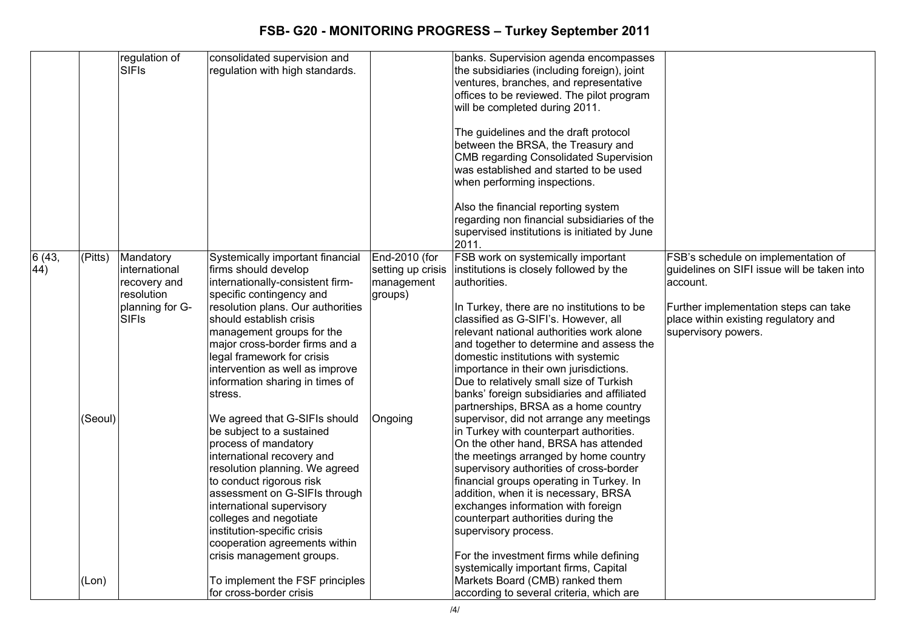|              |                        | regulation of<br><b>SIFIS</b>                                                               | consolidated supervision and<br>regulation with high standards.                                                                                                                                                                                                                                                                                                                                                                                                                                                              |                                                                        | banks. Supervision agenda encompasses<br>the subsidiaries (including foreign), joint<br>ventures, branches, and representative<br>offices to be reviewed. The pilot program<br>will be completed during 2011.<br>The guidelines and the draft protocol<br>between the BRSA, the Treasury and<br><b>CMB regarding Consolidated Supervision</b><br>was established and started to be used<br>when performing inspections.<br>Also the financial reporting system<br>regarding non financial subsidiaries of the<br>supervised institutions is initiated by June                                                                                                                                                    |                                                                                                                                                                                                        |
|--------------|------------------------|---------------------------------------------------------------------------------------------|------------------------------------------------------------------------------------------------------------------------------------------------------------------------------------------------------------------------------------------------------------------------------------------------------------------------------------------------------------------------------------------------------------------------------------------------------------------------------------------------------------------------------|------------------------------------------------------------------------|------------------------------------------------------------------------------------------------------------------------------------------------------------------------------------------------------------------------------------------------------------------------------------------------------------------------------------------------------------------------------------------------------------------------------------------------------------------------------------------------------------------------------------------------------------------------------------------------------------------------------------------------------------------------------------------------------------------|--------------------------------------------------------------------------------------------------------------------------------------------------------------------------------------------------------|
|              |                        |                                                                                             |                                                                                                                                                                                                                                                                                                                                                                                                                                                                                                                              |                                                                        | 2011.                                                                                                                                                                                                                                                                                                                                                                                                                                                                                                                                                                                                                                                                                                            |                                                                                                                                                                                                        |
| 6(43,<br>44) | $ $ (Pitts)<br>(Seoul) | Mandatory<br>international<br>recovery and<br>resolution<br>planning for G-<br><b>SIFIS</b> | Systemically important financial<br>firms should develop<br>internationally-consistent firm-<br>specific contingency and<br>resolution plans. Our authorities<br>should establish crisis<br>management groups for the<br>major cross-border firms and a<br>legal framework for crisis<br>intervention as well as improve<br>information sharing in times of<br>stress.<br>We agreed that G-SIFIs should<br>be subject to a sustained<br>process of mandatory<br>international recovery and<br>resolution planning. We agreed | End-2010 (for<br>setting up crisis<br>management<br>groups)<br>Ongoing | FSB work on systemically important<br>institutions is closely followed by the<br>authorities.<br>In Turkey, there are no institutions to be<br>classified as G-SIFI's. However, all<br>relevant national authorities work alone<br>and together to determine and assess the<br>domestic institutions with systemic<br>importance in their own jurisdictions.<br>Due to relatively small size of Turkish<br>banks' foreign subsidiaries and affiliated<br>partnerships, BRSA as a home country<br>supervisor, did not arrange any meetings<br>in Turkey with counterpart authorities.<br>On the other hand, BRSA has attended<br>the meetings arranged by home country<br>supervisory authorities of cross-border | FSB's schedule on implementation of<br>guidelines on SIFI issue will be taken into<br>account.<br>Further implementation steps can take<br>place within existing regulatory and<br>supervisory powers. |
|              | (Lon)                  |                                                                                             | to conduct rigorous risk<br>assessment on G-SIFIs through<br>international supervisory<br>colleges and negotiate<br>institution-specific crisis<br>cooperation agreements within<br>crisis management groups.<br>To implement the FSF principles<br>for cross-border crisis                                                                                                                                                                                                                                                  |                                                                        | financial groups operating in Turkey. In<br>addition, when it is necessary, BRSA<br>exchanges information with foreign<br>counterpart authorities during the<br>supervisory process.<br>For the investment firms while defining<br>systemically important firms, Capital<br>Markets Board (CMB) ranked them<br>according to several criteria, which are                                                                                                                                                                                                                                                                                                                                                          |                                                                                                                                                                                                        |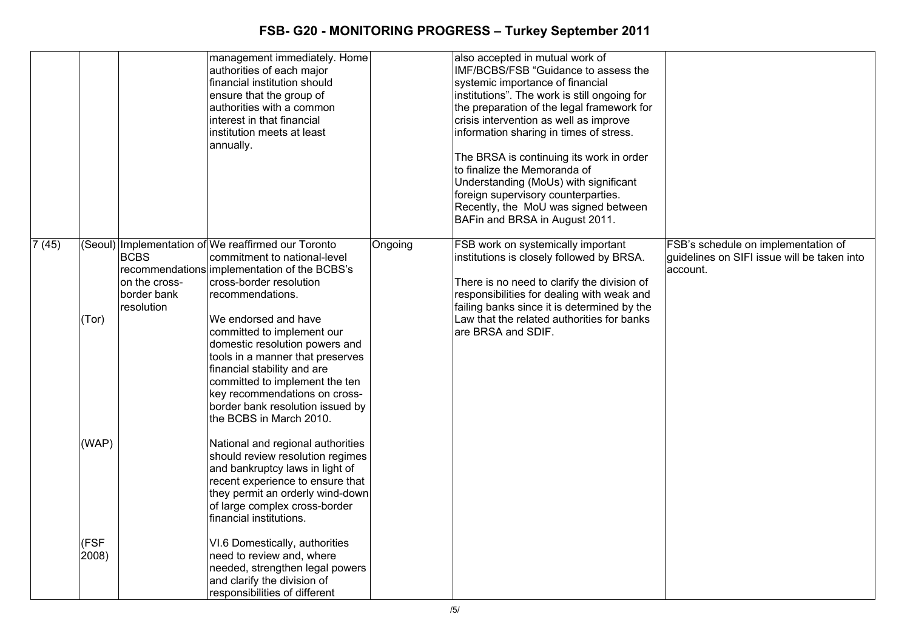|       |              |                                                           | management immediately. Home<br>authorities of each major<br>financial institution should<br>ensure that the group of<br>authorities with a common<br>linterest in that financial<br>institution meets at least<br>annually.                                                                                                                                                                                                                                                    |         | also accepted in mutual work of<br>IMF/BCBS/FSB "Guidance to assess the<br>systemic importance of financial<br>institutions". The work is still ongoing for<br>the preparation of the legal framework for<br>crisis intervention as well as improve<br>information sharing in times of stress.<br>The BRSA is continuing its work in order<br>to finalize the Memoranda of<br>Understanding (MoUs) with significant<br>foreign supervisory counterparties.<br>Recently, the MoU was signed between<br>BAFin and BRSA in August 2011. |                                                                                                |
|-------|--------------|-----------------------------------------------------------|---------------------------------------------------------------------------------------------------------------------------------------------------------------------------------------------------------------------------------------------------------------------------------------------------------------------------------------------------------------------------------------------------------------------------------------------------------------------------------|---------|--------------------------------------------------------------------------------------------------------------------------------------------------------------------------------------------------------------------------------------------------------------------------------------------------------------------------------------------------------------------------------------------------------------------------------------------------------------------------------------------------------------------------------------|------------------------------------------------------------------------------------------------|
| 7(45) | (Tor)        | <b>BCBS</b><br>on the cross-<br>border bank<br>resolution | (Seoul) Implementation of We reaffirmed our Toronto<br>commitment to national-level<br>recommendations implementation of the BCBS's<br>cross-border resolution<br>recommendations.<br>We endorsed and have<br>committed to implement our<br>domestic resolution powers and<br>tools in a manner that preserves<br>financial stability and are<br>committed to implement the ten<br>key recommendations on cross-<br>border bank resolution issued by<br>the BCBS in March 2010. | Ongoing | FSB work on systemically important<br>institutions is closely followed by BRSA.<br>There is no need to clarify the division of<br>responsibilities for dealing with weak and<br>failing banks since it is determined by the<br>Law that the related authorities for banks<br>are BRSA and SDIF.                                                                                                                                                                                                                                      | FSB's schedule on implementation of<br>quidelines on SIFI issue will be taken into<br>account. |
|       | (WAP)        |                                                           | National and regional authorities<br>should review resolution regimes<br>and bankruptcy laws in light of<br>recent experience to ensure that<br>they permit an orderly wind-down<br>of large complex cross-border<br>financial institutions.                                                                                                                                                                                                                                    |         |                                                                                                                                                                                                                                                                                                                                                                                                                                                                                                                                      |                                                                                                |
|       | (FSF<br>2008 |                                                           | VI.6 Domestically, authorities<br>need to review and, where<br>needed, strengthen legal powers<br>and clarify the division of<br>responsibilities of different                                                                                                                                                                                                                                                                                                                  |         |                                                                                                                                                                                                                                                                                                                                                                                                                                                                                                                                      |                                                                                                |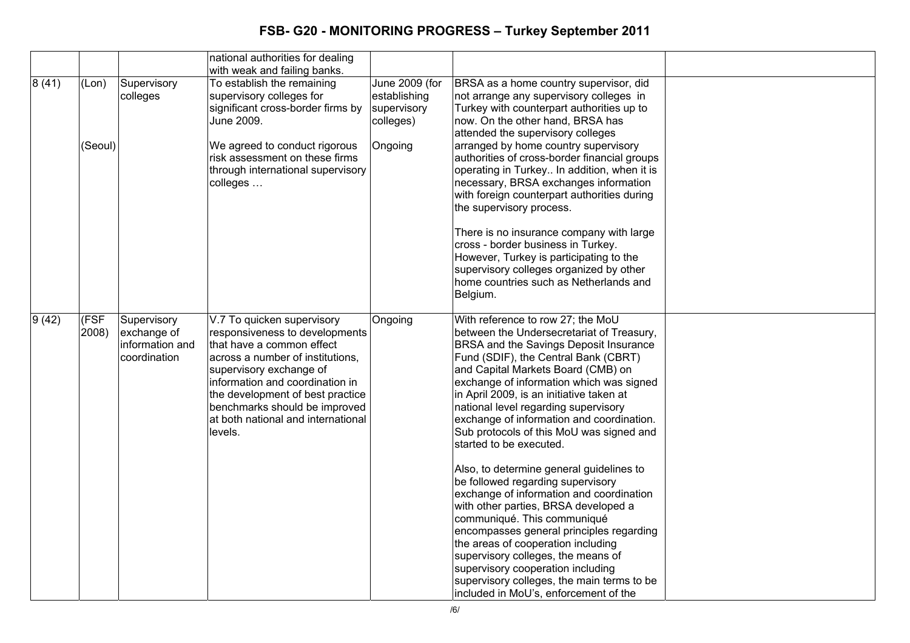|       |                  |                                                               | national authorities for dealing                                                                                                                                                                                                                                                                                  |                                                                       |                                                                                                                                                                                                                                                                                                                                                                                                                                                                                                                                             |  |
|-------|------------------|---------------------------------------------------------------|-------------------------------------------------------------------------------------------------------------------------------------------------------------------------------------------------------------------------------------------------------------------------------------------------------------------|-----------------------------------------------------------------------|---------------------------------------------------------------------------------------------------------------------------------------------------------------------------------------------------------------------------------------------------------------------------------------------------------------------------------------------------------------------------------------------------------------------------------------------------------------------------------------------------------------------------------------------|--|
|       |                  |                                                               | with weak and failing banks.                                                                                                                                                                                                                                                                                      |                                                                       |                                                                                                                                                                                                                                                                                                                                                                                                                                                                                                                                             |  |
| 8(41) | (Lon)<br>(Seoul) | Supervisory<br>colleges                                       | To establish the remaining<br>supervisory colleges for<br>significant cross-border firms by<br>June 2009.<br>We agreed to conduct rigorous<br>risk assessment on these firms<br>through international supervisory<br>colleges                                                                                     | June 2009 (for<br>establishing<br>supervisory<br>colleges)<br>Ongoing | BRSA as a home country supervisor, did<br>not arrange any supervisory colleges in<br>Turkey with counterpart authorities up to<br>now. On the other hand, BRSA has<br>attended the supervisory colleges<br>arranged by home country supervisory<br>authorities of cross-border financial groups<br>operating in Turkey In addition, when it is<br>necessary, BRSA exchanges information<br>with foreign counterpart authorities during<br>the supervisory process.                                                                          |  |
|       |                  |                                                               |                                                                                                                                                                                                                                                                                                                   |                                                                       | There is no insurance company with large<br>cross - border business in Turkey.<br>However, Turkey is participating to the<br>supervisory colleges organized by other<br>home countries such as Netherlands and<br>Belgium.                                                                                                                                                                                                                                                                                                                  |  |
| 9(42) | (FSF)<br>2008)   | Supervisory<br>exchange of<br>information and<br>coordination | V.7 To quicken supervisory<br>responsiveness to developments<br>that have a common effect<br>across a number of institutions,<br>supervisory exchange of<br>information and coordination in<br>the development of best practice<br>benchmarks should be improved<br>at both national and international<br>levels. | Ongoing                                                               | With reference to row 27; the MoU<br>between the Undersecretariat of Treasury,<br>BRSA and the Savings Deposit Insurance<br>Fund (SDIF), the Central Bank (CBRT)<br>and Capital Markets Board (CMB) on<br>exchange of information which was signed<br>in April 2009, is an initiative taken at<br>national level regarding supervisory<br>exchange of information and coordination.<br>Sub protocols of this MoU was signed and<br>started to be executed.<br>Also, to determine general guidelines to<br>be followed regarding supervisory |  |
|       |                  |                                                               |                                                                                                                                                                                                                                                                                                                   |                                                                       | exchange of information and coordination<br>with other parties, BRSA developed a<br>communiqué. This communiqué<br>encompasses general principles regarding<br>the areas of cooperation including<br>supervisory colleges, the means of<br>supervisory cooperation including<br>supervisory colleges, the main terms to be<br>included in MoU's, enforcement of the                                                                                                                                                                         |  |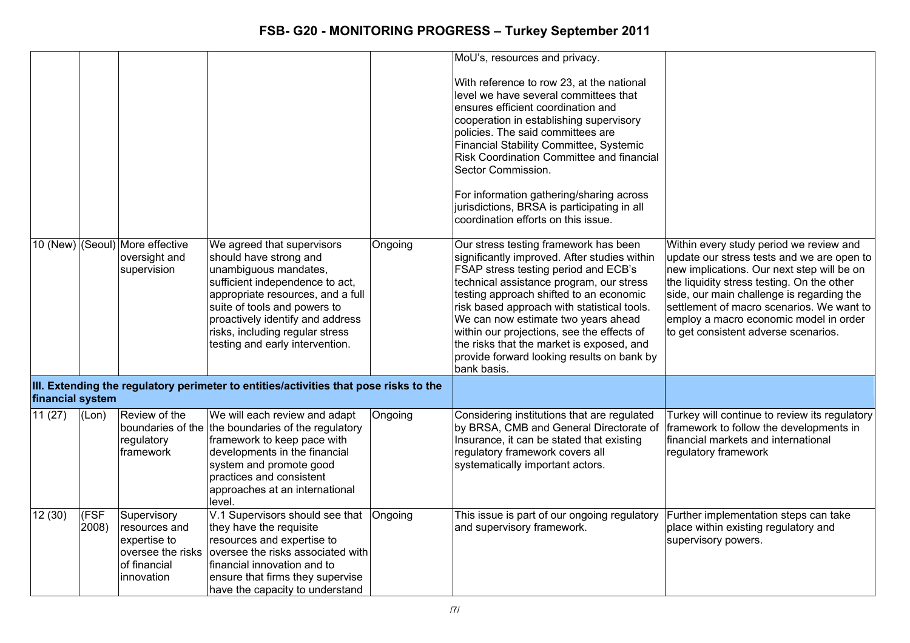|                  |               |                                                                            |                                                                                                                                                                                                                                                                                                 |         | MoU's, resources and privacy.                                                                                                                                                                                                                                                                                                                                                                                                                                      |                                                                                                                                                                                                                                                                                                                                                               |
|------------------|---------------|----------------------------------------------------------------------------|-------------------------------------------------------------------------------------------------------------------------------------------------------------------------------------------------------------------------------------------------------------------------------------------------|---------|--------------------------------------------------------------------------------------------------------------------------------------------------------------------------------------------------------------------------------------------------------------------------------------------------------------------------------------------------------------------------------------------------------------------------------------------------------------------|---------------------------------------------------------------------------------------------------------------------------------------------------------------------------------------------------------------------------------------------------------------------------------------------------------------------------------------------------------------|
|                  |               |                                                                            |                                                                                                                                                                                                                                                                                                 |         | With reference to row 23, at the national<br>level we have several committees that<br>ensures efficient coordination and<br>cooperation in establishing supervisory<br>policies. The said committees are<br>Financial Stability Committee, Systemic<br>Risk Coordination Committee and financial<br>Sector Commission.                                                                                                                                             |                                                                                                                                                                                                                                                                                                                                                               |
|                  |               |                                                                            |                                                                                                                                                                                                                                                                                                 |         | For information gathering/sharing across<br>jurisdictions, BRSA is participating in all<br>coordination efforts on this issue.                                                                                                                                                                                                                                                                                                                                     |                                                                                                                                                                                                                                                                                                                                                               |
|                  |               | 10 (New) (Seoul) More effective<br>oversight and<br>supervision            | We agreed that supervisors<br>should have strong and<br>unambiguous mandates,<br>sufficient independence to act,<br>appropriate resources, and a full<br>suite of tools and powers to<br>proactively identify and address<br>risks, including regular stress<br>testing and early intervention. | Ongoing | Our stress testing framework has been<br>significantly improved. After studies within<br>FSAP stress testing period and ECB's<br>technical assistance program, our stress<br>testing approach shifted to an economic<br>risk based approach with statistical tools.<br>We can now estimate two years ahead<br>within our projections, see the effects of<br>the risks that the market is exposed, and<br>provide forward looking results on bank by<br>bank basis. | Within every study period we review and<br>update our stress tests and we are open to<br>new implications. Our next step will be on<br>the liquidity stress testing. On the other<br>side, our main challenge is regarding the<br>settlement of macro scenarios. We want to<br>employ a macro economic model in order<br>to get consistent adverse scenarios. |
| financial system |               |                                                                            | III. Extending the regulatory perimeter to entities/activities that pose risks to the                                                                                                                                                                                                           |         |                                                                                                                                                                                                                                                                                                                                                                                                                                                                    |                                                                                                                                                                                                                                                                                                                                                               |
| 11(27)           | (Lon)         | Review of the<br>regulatory<br>framework                                   | We will each review and adapt<br>boundaries of the the boundaries of the regulatory<br>framework to keep pace with<br>developments in the financial<br>system and promote good<br>practices and consistent<br>approaches at an international<br>level.                                          | Ongoing | Considering institutions that are regulated<br>by BRSA, CMB and General Directorate of<br>Insurance, it can be stated that existing<br>regulatory framework covers all<br>systematically important actors.                                                                                                                                                                                                                                                         | Turkey will continue to review its regulatory<br>framework to follow the developments in<br>financial markets and international<br>regulatory framework                                                                                                                                                                                                       |
| 12(30)           | (FSF<br>2008) | Supervisory<br>resources and<br>expertise to<br>of financial<br>innovation | V.1 Supervisors should see that Ongoing<br>they have the requisite<br>resources and expertise to<br>oversee the risks oversee the risks associated with<br>financial innovation and to<br>ensure that firms they supervise<br>have the capacity to understand                                   |         | This issue is part of our ongoing regulatory<br>and supervisory framework.                                                                                                                                                                                                                                                                                                                                                                                         | Further implementation steps can take<br>place within existing regulatory and<br>supervisory powers.                                                                                                                                                                                                                                                          |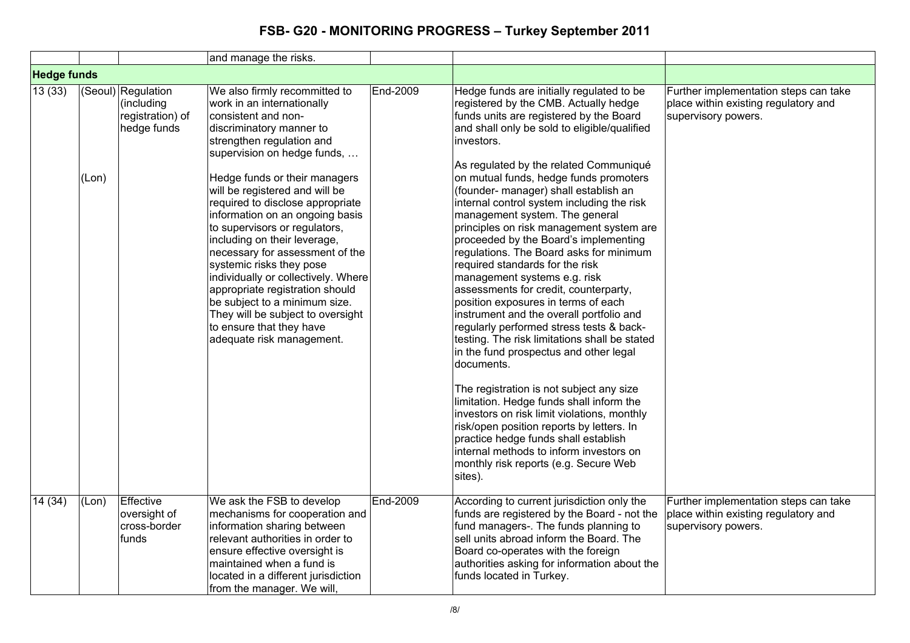|                    |       |                                                                     | and manage the risks.                                                                                                                                                                                                                                                                                                                                                                                                                                                                                                                                                                                                                                         |          |                                                                                                                                                                                                                                                                                                                                                                                                                                                                                                                                                                                                                                                                                                                                                                                                                                                                                                                                                                                                                                                                                                                                                                                                                         |                                                                                                      |
|--------------------|-------|---------------------------------------------------------------------|---------------------------------------------------------------------------------------------------------------------------------------------------------------------------------------------------------------------------------------------------------------------------------------------------------------------------------------------------------------------------------------------------------------------------------------------------------------------------------------------------------------------------------------------------------------------------------------------------------------------------------------------------------------|----------|-------------------------------------------------------------------------------------------------------------------------------------------------------------------------------------------------------------------------------------------------------------------------------------------------------------------------------------------------------------------------------------------------------------------------------------------------------------------------------------------------------------------------------------------------------------------------------------------------------------------------------------------------------------------------------------------------------------------------------------------------------------------------------------------------------------------------------------------------------------------------------------------------------------------------------------------------------------------------------------------------------------------------------------------------------------------------------------------------------------------------------------------------------------------------------------------------------------------------|------------------------------------------------------------------------------------------------------|
| <b>Hedge funds</b> |       |                                                                     |                                                                                                                                                                                                                                                                                                                                                                                                                                                                                                                                                                                                                                                               |          |                                                                                                                                                                                                                                                                                                                                                                                                                                                                                                                                                                                                                                                                                                                                                                                                                                                                                                                                                                                                                                                                                                                                                                                                                         |                                                                                                      |
| 13(33)             | (Lon) | (Seoul) Regulation<br>(including<br>registration) of<br>hedge funds | We also firmly recommitted to<br>work in an internationally<br>consistent and non-<br>discriminatory manner to<br>strengthen regulation and<br>supervision on hedge funds,<br>Hedge funds or their managers<br>will be registered and will be<br>required to disclose appropriate<br>information on an ongoing basis<br>to supervisors or regulators,<br>including on their leverage,<br>necessary for assessment of the<br>systemic risks they pose<br>individually or collectively. Where<br>appropriate registration should<br>be subject to a minimum size.<br>They will be subject to oversight<br>to ensure that they have<br>adequate risk management. | End-2009 | Hedge funds are initially regulated to be<br>registered by the CMB. Actually hedge<br>funds units are registered by the Board<br>and shall only be sold to eligible/qualified<br>investors.<br>As regulated by the related Communiqué<br>on mutual funds, hedge funds promoters<br>(founder- manager) shall establish an<br>internal control system including the risk<br>management system. The general<br>principles on risk management system are<br>proceeded by the Board's implementing<br>regulations. The Board asks for minimum<br>required standards for the risk<br>management systems e.g. risk<br>assessments for credit, counterparty,<br>position exposures in terms of each<br>instrument and the overall portfolio and<br>regularly performed stress tests & back-<br>testing. The risk limitations shall be stated<br>in the fund prospectus and other legal<br>documents.<br>The registration is not subject any size<br>limitation. Hedge funds shall inform the<br>investors on risk limit violations, monthly<br>risk/open position reports by letters. In<br>practice hedge funds shall establish<br>internal methods to inform investors on<br>monthly risk reports (e.g. Secure Web<br>sites). | Further implementation steps can take<br>place within existing regulatory and<br>supervisory powers. |
| 14 (34)            | (Lon) | Effective<br>oversight of<br>cross-border<br>funds                  | We ask the FSB to develop<br>mechanisms for cooperation and<br>information sharing between<br>relevant authorities in order to<br>ensure effective oversight is<br>maintained when a fund is<br>located in a different jurisdiction<br>from the manager. We will,                                                                                                                                                                                                                                                                                                                                                                                             | End-2009 | According to current jurisdiction only the<br>funds are registered by the Board - not the<br>fund managers-. The funds planning to<br>sell units abroad inform the Board. The<br>Board co-operates with the foreign<br>authorities asking for information about the<br>funds located in Turkey.                                                                                                                                                                                                                                                                                                                                                                                                                                                                                                                                                                                                                                                                                                                                                                                                                                                                                                                         | Further implementation steps can take<br>place within existing regulatory and<br>supervisory powers. |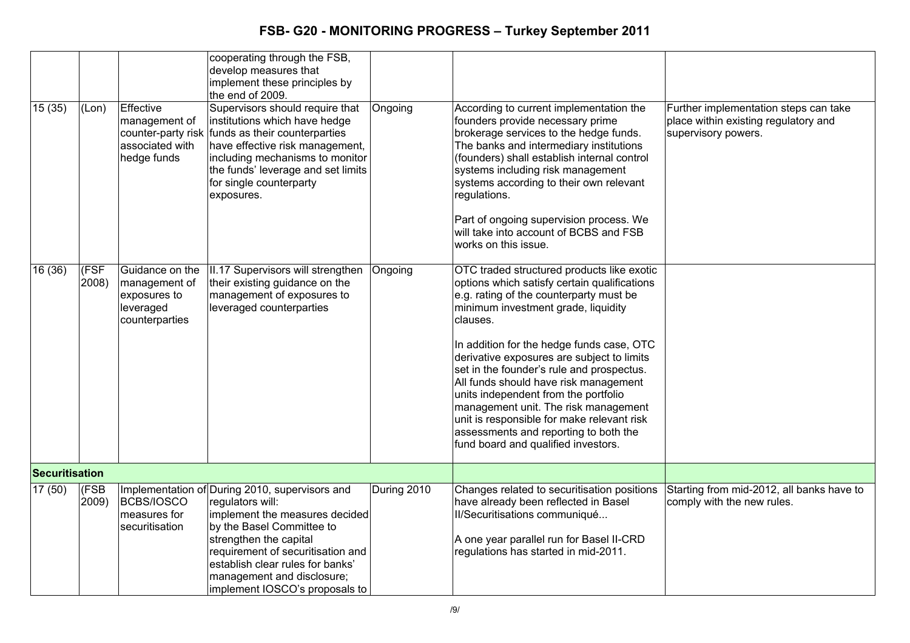|                |               |                                                                                 | cooperating through the FSB,<br>develop measures that<br>implement these principles by<br>the end of 2009.                                                                                                                                                                                           |             |                                                                                                                                                                                                                                                                                                                                                                                                                                                                                                                                                                                         |                                                                                                      |
|----------------|---------------|---------------------------------------------------------------------------------|------------------------------------------------------------------------------------------------------------------------------------------------------------------------------------------------------------------------------------------------------------------------------------------------------|-------------|-----------------------------------------------------------------------------------------------------------------------------------------------------------------------------------------------------------------------------------------------------------------------------------------------------------------------------------------------------------------------------------------------------------------------------------------------------------------------------------------------------------------------------------------------------------------------------------------|------------------------------------------------------------------------------------------------------|
| 15(35)         | (Lon)         | Effective<br>management of<br>associated with<br>hedge funds                    | Supervisors should require that<br>institutions which have hedge<br>counter-party risk funds as their counterparties<br>have effective risk management,<br>including mechanisms to monitor<br>the funds' leverage and set limits<br>for single counterparty<br>exposures.                            | Ongoing     | According to current implementation the<br>founders provide necessary prime<br>brokerage services to the hedge funds.<br>The banks and intermediary institutions<br>(founders) shall establish internal control<br>systems including risk management<br>systems according to their own relevant<br>regulations.<br>Part of ongoing supervision process. We<br>will take into account of BCBS and FSB<br>works on this issue.                                                                                                                                                            | Further implementation steps can take<br>place within existing regulatory and<br>supervisory powers. |
| 16(36)         | (FSF<br>2008) | Guidance on the<br>management of<br>exposures to<br>leveraged<br>counterparties | II.17 Supervisors will strengthen<br>their existing guidance on the<br>management of exposures to<br>leveraged counterparties                                                                                                                                                                        | Ongoing     | OTC traded structured products like exotic<br>options which satisfy certain qualifications<br>e.g. rating of the counterparty must be<br>minimum investment grade, liquidity<br>clauses.<br>In addition for the hedge funds case, OTC<br>derivative exposures are subject to limits<br>set in the founder's rule and prospectus.<br>All funds should have risk management<br>units independent from the portfolio<br>management unit. The risk management<br>unit is responsible for make relevant risk<br>assessments and reporting to both the<br>fund board and qualified investors. |                                                                                                      |
| Securitisation |               |                                                                                 |                                                                                                                                                                                                                                                                                                      |             |                                                                                                                                                                                                                                                                                                                                                                                                                                                                                                                                                                                         |                                                                                                      |
| 17(50)         | (FSB<br>2009) | <b>BCBS/IOSCO</b><br>measures for<br>securitisation                             | Implementation of During 2010, supervisors and<br>regulators will:<br>implement the measures decided<br>by the Basel Committee to<br>strengthen the capital<br>requirement of securitisation and<br>establish clear rules for banks'<br>management and disclosure;<br>implement IOSCO's proposals to | During 2010 | Changes related to securitisation positions<br>have already been reflected in Basel<br>II/Securitisations communiqué<br>A one year parallel run for Basel II-CRD<br>regulations has started in mid-2011.                                                                                                                                                                                                                                                                                                                                                                                | Starting from mid-2012, all banks have to<br>comply with the new rules.                              |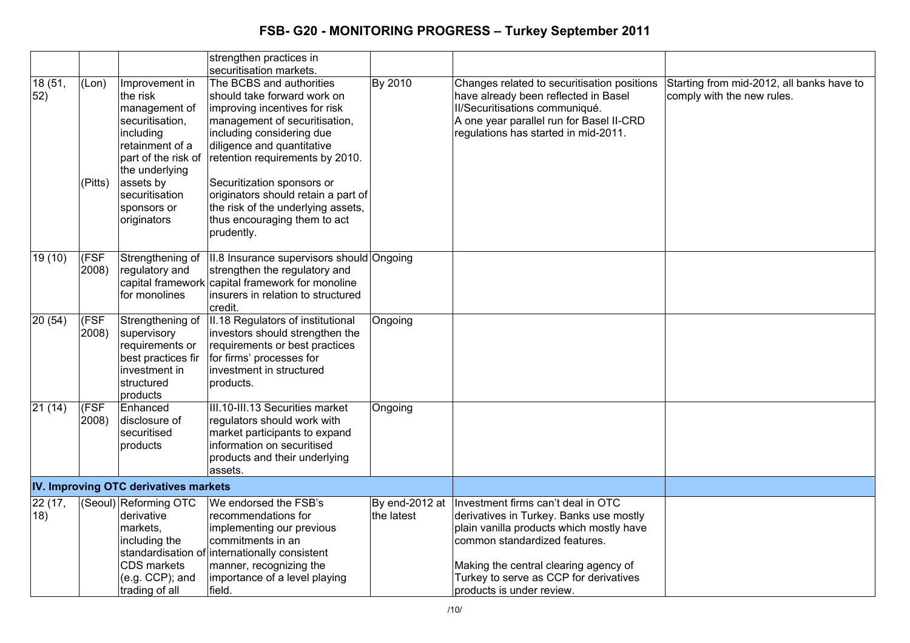|                |                  |                                                                                                                                                                                                      | strengthen practices in<br>securitisation markets.                                                                                                                                                                                                                                                                                                                               |                              |                                                                                                                                                                                                                                                                            |                                                                         |
|----------------|------------------|------------------------------------------------------------------------------------------------------------------------------------------------------------------------------------------------------|----------------------------------------------------------------------------------------------------------------------------------------------------------------------------------------------------------------------------------------------------------------------------------------------------------------------------------------------------------------------------------|------------------------------|----------------------------------------------------------------------------------------------------------------------------------------------------------------------------------------------------------------------------------------------------------------------------|-------------------------------------------------------------------------|
| 18 (51,<br>52) | (Lon)<br>(Pitts) | Improvement in<br>the risk<br>management of<br>securitisation,<br>including<br>retainment of a<br>part of the risk of<br>the underlying<br>assets by<br>securitisation<br>sponsors or<br>originators | The BCBS and authorities<br>should take forward work on<br>improving incentives for risk<br>management of securitisation,<br>including considering due<br>diligence and quantitative<br>retention requirements by 2010.<br>Securitization sponsors or<br>originators should retain a part of<br>the risk of the underlying assets,<br>thus encouraging them to act<br>prudently. | By 2010                      | Changes related to securitisation positions<br>have already been reflected in Basel<br>II/Securitisations communiqué.<br>A one year parallel run for Basel II-CRD<br>regulations has started in mid-2011.                                                                  | Starting from mid-2012, all banks have to<br>comply with the new rules. |
| 19(10)         | (FSF<br>2008)    | Strengthening of<br>regulatory and<br>for monolines                                                                                                                                                  | II.8 Insurance supervisors should Ongoing<br>strengthen the regulatory and<br>capital framework capital framework for monoline<br>linsurers in relation to structured<br>credit.                                                                                                                                                                                                 |                              |                                                                                                                                                                                                                                                                            |                                                                         |
| 20(54)         | (FSF<br>2008)    | Strengthening of<br>supervisory<br>requirements or<br>best practices fir<br>investment in<br>structured<br>products                                                                                  | II.18 Regulators of institutional<br>investors should strengthen the<br>requirements or best practices<br>for firms' processes for<br>investment in structured<br>products.                                                                                                                                                                                                      | Ongoing                      |                                                                                                                                                                                                                                                                            |                                                                         |
| 21(14)         | (FSF<br>2008)    | Enhanced<br>disclosure of<br>securitised<br>products                                                                                                                                                 | III.10-III.13 Securities market<br>regulators should work with<br>market participants to expand<br>information on securitised<br>products and their underlying<br>assets.                                                                                                                                                                                                        | Ongoing                      |                                                                                                                                                                                                                                                                            |                                                                         |
|                |                  | IV. Improving OTC derivatives markets                                                                                                                                                                |                                                                                                                                                                                                                                                                                                                                                                                  |                              |                                                                                                                                                                                                                                                                            |                                                                         |
| 22 (17,<br>18) |                  | (Seoul) Reforming OTC<br>derivative<br>markets,<br>including the<br>CDS markets<br>(e.g. CCP); and<br>trading of all                                                                                 | We endorsed the FSB's<br>recommendations for<br>implementing our previous<br>commitments in an<br>standardisation of internationally consistent<br>manner, recognizing the<br>importance of a level playing<br>field.                                                                                                                                                            | By end-2012 at<br>the latest | Investment firms can't deal in OTC<br>derivatives in Turkey. Banks use mostly<br>plain vanilla products which mostly have<br>common standardized features.<br>Making the central clearing agency of<br>Turkey to serve as CCP for derivatives<br>products is under review. |                                                                         |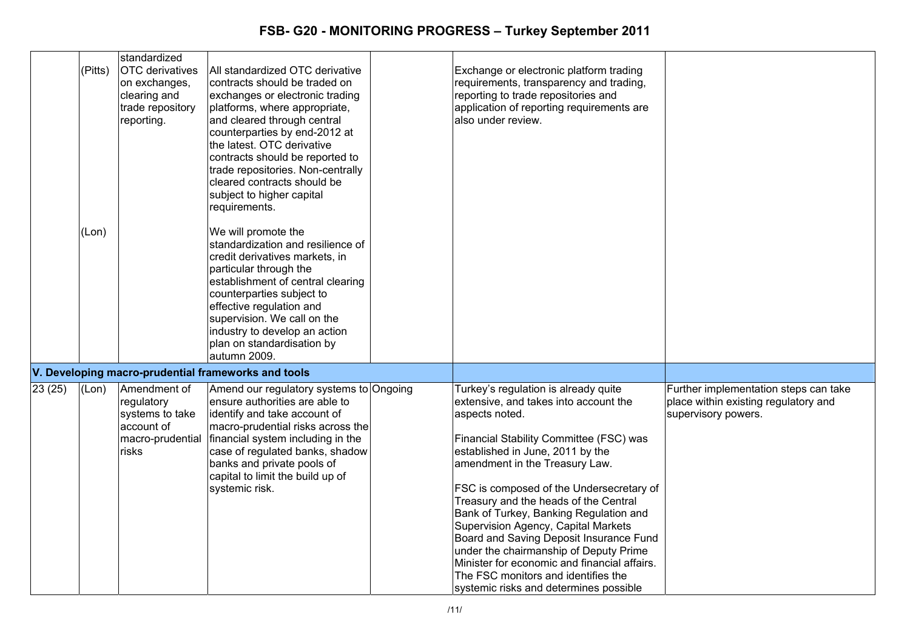|        | (Pitts)<br>(Lon) | standardized<br><b>OTC</b> derivatives<br>on exchanges,<br>clearing and<br>trade repository<br>reporting. | All standardized OTC derivative<br>contracts should be traded on<br>exchanges or electronic trading<br>platforms, where appropriate,<br>and cleared through central<br>counterparties by end-2012 at<br>the latest. OTC derivative<br>contracts should be reported to<br>trade repositories. Non-centrally<br>cleared contracts should be<br>subject to higher capital<br>requirements.<br>We will promote the<br>standardization and resilience of | Exchange or electronic platform trading<br>requirements, transparency and trading,<br>reporting to trade repositories and<br>application of reporting requirements are<br>also under review.                                                                                                                                                                                                                                                                                                                                                                                                                 |                                                                                                      |
|--------|------------------|-----------------------------------------------------------------------------------------------------------|-----------------------------------------------------------------------------------------------------------------------------------------------------------------------------------------------------------------------------------------------------------------------------------------------------------------------------------------------------------------------------------------------------------------------------------------------------|--------------------------------------------------------------------------------------------------------------------------------------------------------------------------------------------------------------------------------------------------------------------------------------------------------------------------------------------------------------------------------------------------------------------------------------------------------------------------------------------------------------------------------------------------------------------------------------------------------------|------------------------------------------------------------------------------------------------------|
|        |                  |                                                                                                           | credit derivatives markets, in<br>particular through the<br>establishment of central clearing<br>counterparties subject to<br>effective regulation and<br>supervision. We call on the<br>industry to develop an action<br>plan on standardisation by<br>autumn 2009.                                                                                                                                                                                |                                                                                                                                                                                                                                                                                                                                                                                                                                                                                                                                                                                                              |                                                                                                      |
|        |                  |                                                                                                           | V. Developing macro-prudential frameworks and tools                                                                                                                                                                                                                                                                                                                                                                                                 |                                                                                                                                                                                                                                                                                                                                                                                                                                                                                                                                                                                                              |                                                                                                      |
| 23(25) | (Lon)            | Amendment of<br>regulatory<br>systems to take<br>account of<br>macro-prudential<br>risks                  | Amend our regulatory systems to Ongoing<br>ensure authorities are able to<br>identify and take account of<br>macro-prudential risks across the<br>financial system including in the<br>case of regulated banks, shadow<br>banks and private pools of<br>capital to limit the build up of<br>systemic risk.                                                                                                                                          | Turkey's regulation is already quite<br>extensive, and takes into account the<br>aspects noted.<br>Financial Stability Committee (FSC) was<br>established in June, 2011 by the<br>amendment in the Treasury Law.<br>FSC is composed of the Undersecretary of<br>Treasury and the heads of the Central<br>Bank of Turkey, Banking Regulation and<br>Supervision Agency, Capital Markets<br>Board and Saving Deposit Insurance Fund<br>under the chairmanship of Deputy Prime<br>Minister for economic and financial affairs.<br>The FSC monitors and identifies the<br>systemic risks and determines possible | Further implementation steps can take<br>place within existing regulatory and<br>supervisory powers. |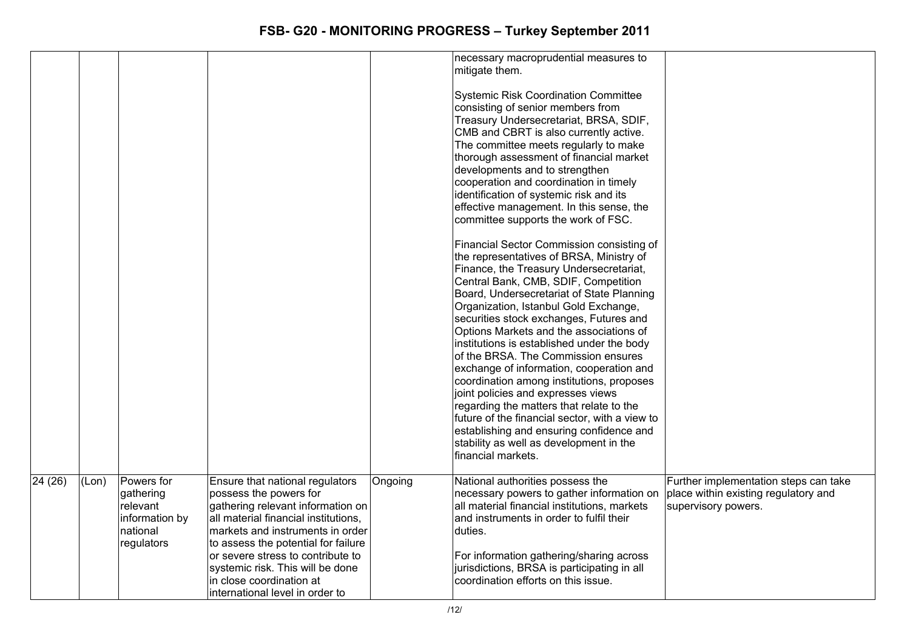|         |       |                                                                                 |                                                                                                                                                                                                                                                                                                                                                           |         | necessary macroprudential measures to<br>mitigate them.<br><b>Systemic Risk Coordination Committee</b><br>consisting of senior members from<br>Treasury Undersecretariat, BRSA, SDIF,<br>CMB and CBRT is also currently active.<br>The committee meets regularly to make<br>thorough assessment of financial market<br>developments and to strengthen<br>cooperation and coordination in timely<br>identification of systemic risk and its<br>effective management. In this sense, the<br>committee supports the work of FSC.<br>Financial Sector Commission consisting of<br>the representatives of BRSA, Ministry of<br>Finance, the Treasury Undersecretariat,<br>Central Bank, CMB, SDIF, Competition<br>Board, Undersecretariat of State Planning<br>Organization, Istanbul Gold Exchange,<br>securities stock exchanges, Futures and<br>Options Markets and the associations of<br>institutions is established under the body<br>of the BRSA. The Commission ensures<br>exchange of information, cooperation and<br>coordination among institutions, proposes<br>joint policies and expresses views<br>regarding the matters that relate to the<br>future of the financial sector, with a view to<br>establishing and ensuring confidence and<br>stability as well as development in the<br>financial markets. |                                                                                                      |
|---------|-------|---------------------------------------------------------------------------------|-----------------------------------------------------------------------------------------------------------------------------------------------------------------------------------------------------------------------------------------------------------------------------------------------------------------------------------------------------------|---------|----------------------------------------------------------------------------------------------------------------------------------------------------------------------------------------------------------------------------------------------------------------------------------------------------------------------------------------------------------------------------------------------------------------------------------------------------------------------------------------------------------------------------------------------------------------------------------------------------------------------------------------------------------------------------------------------------------------------------------------------------------------------------------------------------------------------------------------------------------------------------------------------------------------------------------------------------------------------------------------------------------------------------------------------------------------------------------------------------------------------------------------------------------------------------------------------------------------------------------------------------------------------------------------------------------------------|------------------------------------------------------------------------------------------------------|
| 24 (26) | (Lon) | Powers for<br>gathering<br>relevant<br>information by<br>national<br>regulators | Ensure that national regulators<br>possess the powers for<br>gathering relevant information on<br>all material financial institutions,<br>markets and instruments in order<br>to assess the potential for failure<br>or severe stress to contribute to<br>systemic risk. This will be done<br>in close coordination at<br>international level in order to | Ongoing | National authorities possess the<br>necessary powers to gather information on<br>all material financial institutions, markets<br>and instruments in order to fulfil their<br>duties.<br>For information gathering/sharing across<br>jurisdictions, BRSA is participating in all<br>coordination efforts on this issue.                                                                                                                                                                                                                                                                                                                                                                                                                                                                                                                                                                                                                                                                                                                                                                                                                                                                                                                                                                                               | Further implementation steps can take<br>place within existing regulatory and<br>supervisory powers. |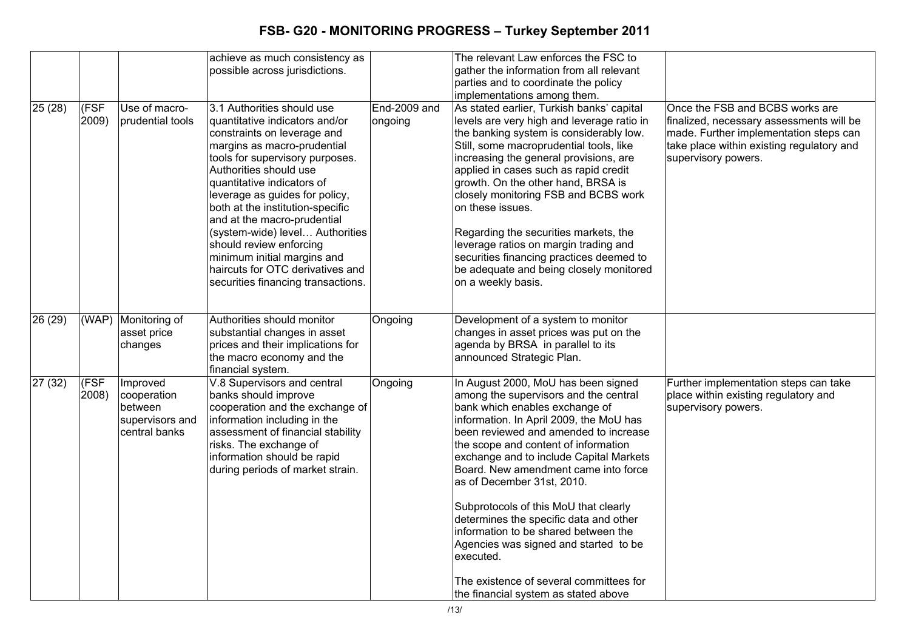|         |               |                                                                        | achieve as much consistency as<br>possible across jurisdictions.                                                                                                                                                                                                                                                                                                                                                                                                                                  |                         | The relevant Law enforces the FSC to<br>gather the information from all relevant<br>parties and to coordinate the policy<br>implementations among them.                                                                                                                                                                                                                                                                                                                                                                                                                                                                         |                                                                                                                                                                                           |
|---------|---------------|------------------------------------------------------------------------|---------------------------------------------------------------------------------------------------------------------------------------------------------------------------------------------------------------------------------------------------------------------------------------------------------------------------------------------------------------------------------------------------------------------------------------------------------------------------------------------------|-------------------------|---------------------------------------------------------------------------------------------------------------------------------------------------------------------------------------------------------------------------------------------------------------------------------------------------------------------------------------------------------------------------------------------------------------------------------------------------------------------------------------------------------------------------------------------------------------------------------------------------------------------------------|-------------------------------------------------------------------------------------------------------------------------------------------------------------------------------------------|
| 25(28)  | (FSF<br>2009) | Use of macro-<br>prudential tools                                      | 3.1 Authorities should use<br>quantitative indicators and/or<br>constraints on leverage and<br>margins as macro-prudential<br>tools for supervisory purposes.<br>Authorities should use<br>quantitative indicators of<br>leverage as guides for policy,<br>both at the institution-specific<br>and at the macro-prudential<br>(system-wide) level Authorities<br>should review enforcing<br>minimum initial margins and<br>haircuts for OTC derivatives and<br>securities financing transactions. | End-2009 and<br>ongoing | As stated earlier, Turkish banks' capital<br>levels are very high and leverage ratio in<br>the banking system is considerably low.<br>Still, some macroprudential tools, like<br>increasing the general provisions, are<br>applied in cases such as rapid credit<br>growth. On the other hand, BRSA is<br>closely monitoring FSB and BCBS work<br>on these issues.<br>Regarding the securities markets, the<br>leverage ratios on margin trading and<br>securities financing practices deemed to<br>be adequate and being closely monitored<br>on a weekly basis.                                                               | Once the FSB and BCBS works are<br>finalized, necessary assessments will be<br>made. Further implementation steps can<br>take place within existing regulatory and<br>supervisory powers. |
| 26 (29) |               | (WAP) Monitoring of<br>asset price<br>changes                          | Authorities should monitor<br>substantial changes in asset<br>prices and their implications for<br>the macro economy and the<br>financial system.                                                                                                                                                                                                                                                                                                                                                 | Ongoing                 | Development of a system to monitor<br>changes in asset prices was put on the<br>agenda by BRSA in parallel to its<br>announced Strategic Plan.                                                                                                                                                                                                                                                                                                                                                                                                                                                                                  |                                                                                                                                                                                           |
| 27(32)  | (FSF<br>2008) | Improved<br>cooperation<br>between<br>supervisors and<br>central banks | V.8 Supervisors and central<br>banks should improve<br>cooperation and the exchange of<br>information including in the<br>assessment of financial stability<br>risks. The exchange of<br>information should be rapid<br>during periods of market strain.                                                                                                                                                                                                                                          | Ongoing                 | In August 2000, MoU has been signed<br>among the supervisors and the central<br>bank which enables exchange of<br>information. In April 2009, the MoU has<br>been reviewed and amended to increase<br>the scope and content of information<br>exchange and to include Capital Markets<br>Board. New amendment came into force<br>as of December 31st, 2010.<br>Subprotocols of this MoU that clearly<br>determines the specific data and other<br>information to be shared between the<br>Agencies was signed and started to be<br>executed.<br>The existence of several committees for<br>the financial system as stated above | Further implementation steps can take<br>place within existing regulatory and<br>supervisory powers.                                                                                      |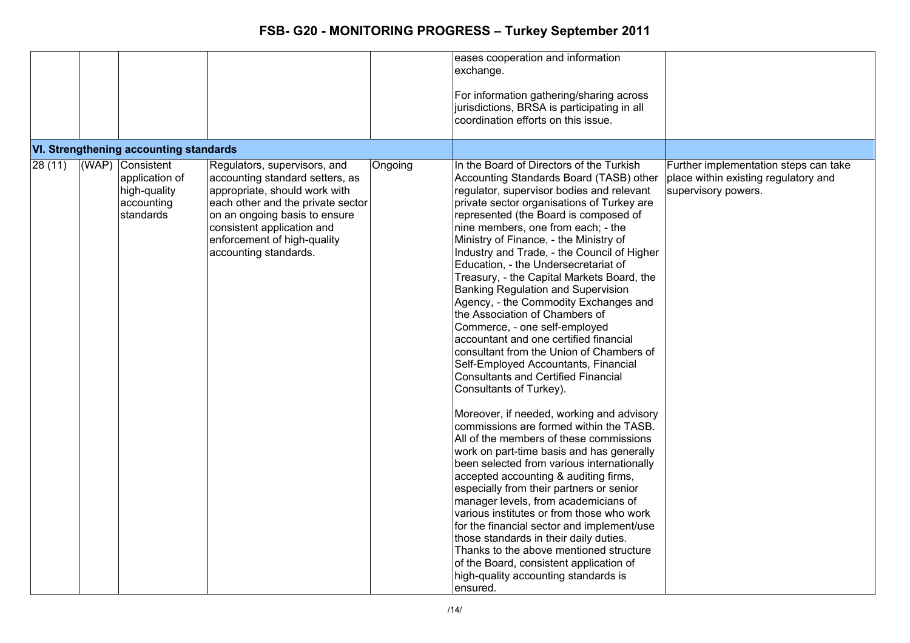|        |                                                                               |                                                                                                                                                                                                                                                              |         | eases cooperation and information<br>exchange.<br>For information gathering/sharing across<br>jurisdictions, BRSA is participating in all<br>coordination efforts on this issue.                                                                                                                                                                                                                                                                                                                                                                                                                                                                                                                                                                                                                                                                                                                                                                                                                                                                                                                                                                                                                                                                                                                                                                                                                                                         |                                                                                                      |
|--------|-------------------------------------------------------------------------------|--------------------------------------------------------------------------------------------------------------------------------------------------------------------------------------------------------------------------------------------------------------|---------|------------------------------------------------------------------------------------------------------------------------------------------------------------------------------------------------------------------------------------------------------------------------------------------------------------------------------------------------------------------------------------------------------------------------------------------------------------------------------------------------------------------------------------------------------------------------------------------------------------------------------------------------------------------------------------------------------------------------------------------------------------------------------------------------------------------------------------------------------------------------------------------------------------------------------------------------------------------------------------------------------------------------------------------------------------------------------------------------------------------------------------------------------------------------------------------------------------------------------------------------------------------------------------------------------------------------------------------------------------------------------------------------------------------------------------------|------------------------------------------------------------------------------------------------------|
|        | VI. Strengthening accounting standards                                        |                                                                                                                                                                                                                                                              |         |                                                                                                                                                                                                                                                                                                                                                                                                                                                                                                                                                                                                                                                                                                                                                                                                                                                                                                                                                                                                                                                                                                                                                                                                                                                                                                                                                                                                                                          |                                                                                                      |
| 28(11) | (WAP) Consistent<br>application of<br>high-quality<br>accounting<br>standards | Regulators, supervisors, and<br>accounting standard setters, as<br>appropriate, should work with<br>each other and the private sector<br>on an ongoing basis to ensure<br>consistent application and<br>enforcement of high-quality<br>accounting standards. | Ongoing | In the Board of Directors of the Turkish<br>Accounting Standards Board (TASB) other<br>regulator, supervisor bodies and relevant<br>private sector organisations of Turkey are<br>represented (the Board is composed of<br>nine members, one from each; - the<br>Ministry of Finance, - the Ministry of<br>Industry and Trade, - the Council of Higher<br>Education, - the Undersecretariat of<br>Treasury, - the Capital Markets Board, the<br>Banking Regulation and Supervision<br>Agency, - the Commodity Exchanges and<br>the Association of Chambers of<br>Commerce, - one self-employed<br>accountant and one certified financial<br>consultant from the Union of Chambers of<br>Self-Employed Accountants, Financial<br>Consultants and Certified Financial<br>Consultants of Turkey).<br>Moreover, if needed, working and advisory<br>commissions are formed within the TASB.<br>All of the members of these commissions<br>work on part-time basis and has generally<br>been selected from various internationally<br>accepted accounting & auditing firms,<br>especially from their partners or senior<br>manager levels, from academicians of<br>various institutes or from those who work<br>for the financial sector and implement/use<br>those standards in their daily duties.<br>Thanks to the above mentioned structure<br>of the Board, consistent application of<br>high-quality accounting standards is<br>ensured. | Further implementation steps can take<br>place within existing regulatory and<br>supervisory powers. |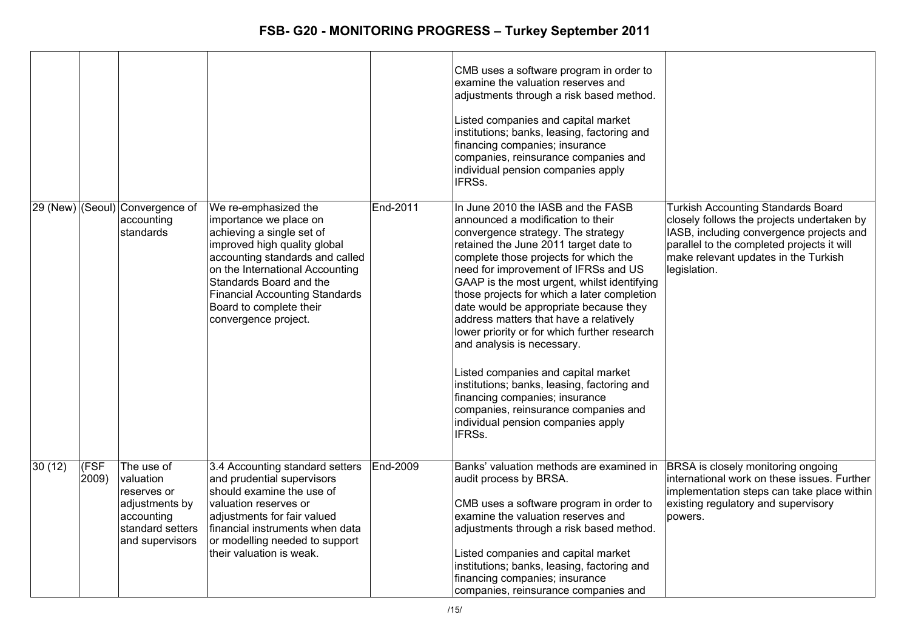|        |               |                                                                                                               |                                                                                                                                                                                                                                                                                                          |          | CMB uses a software program in order to<br>examine the valuation reserves and<br>adjustments through a risk based method.                                                                                                                                                                                                                                                                                                                                                                                                                                                                                                                                                                                                      |                                                                                                                                                                                                                                           |
|--------|---------------|---------------------------------------------------------------------------------------------------------------|----------------------------------------------------------------------------------------------------------------------------------------------------------------------------------------------------------------------------------------------------------------------------------------------------------|----------|--------------------------------------------------------------------------------------------------------------------------------------------------------------------------------------------------------------------------------------------------------------------------------------------------------------------------------------------------------------------------------------------------------------------------------------------------------------------------------------------------------------------------------------------------------------------------------------------------------------------------------------------------------------------------------------------------------------------------------|-------------------------------------------------------------------------------------------------------------------------------------------------------------------------------------------------------------------------------------------|
|        |               |                                                                                                               |                                                                                                                                                                                                                                                                                                          |          | Listed companies and capital market<br>institutions; banks, leasing, factoring and<br>financing companies; insurance<br>companies, reinsurance companies and<br>individual pension companies apply<br>IFRSs.                                                                                                                                                                                                                                                                                                                                                                                                                                                                                                                   |                                                                                                                                                                                                                                           |
|        |               | [29 (New) (Seoul) Convergence of<br>accounting<br>standards                                                   | We re-emphasized the<br>importance we place on<br>achieving a single set of<br>improved high quality global<br>accounting standards and called<br>on the International Accounting<br>Standards Board and the<br><b>Financial Accounting Standards</b><br>Board to complete their<br>convergence project. | End-2011 | In June 2010 the IASB and the FASB<br>announced a modification to their<br>convergence strategy. The strategy<br>retained the June 2011 target date to<br>complete those projects for which the<br>need for improvement of IFRSs and US<br>GAAP is the most urgent, whilst identifying<br>those projects for which a later completion<br>date would be appropriate because they<br>address matters that have a relatively<br>lower priority or for which further research<br>and analysis is necessary.<br>Listed companies and capital market<br>institutions; banks, leasing, factoring and<br>financing companies; insurance<br>companies, reinsurance companies and<br>individual pension companies apply<br><b>IFRSs.</b> | <b>Turkish Accounting Standards Board</b><br>closely follows the projects undertaken by<br>IASB, including convergence projects and<br>parallel to the completed projects it will<br>make relevant updates in the Turkish<br>legislation. |
| 30(12) | (FSF<br>2009) | The use of<br>valuation<br>reserves or<br>adjustments by<br>accounting<br>standard setters<br>and supervisors | 3.4 Accounting standard setters<br>and prudential supervisors<br>should examine the use of<br>valuation reserves or<br>adjustments for fair valued<br>financial instruments when data<br>or modelling needed to support<br>their valuation is weak.                                                      | End-2009 | Banks' valuation methods are examined in<br>audit process by BRSA.<br>CMB uses a software program in order to<br>examine the valuation reserves and<br>adjustments through a risk based method.<br>Listed companies and capital market<br>institutions; banks, leasing, factoring and<br>financing companies; insurance<br>companies, reinsurance companies and                                                                                                                                                                                                                                                                                                                                                                | <b>BRSA</b> is closely monitoring ongoing<br>international work on these issues. Further<br>implementation steps can take place within<br>existing regulatory and supervisory<br>powers.                                                  |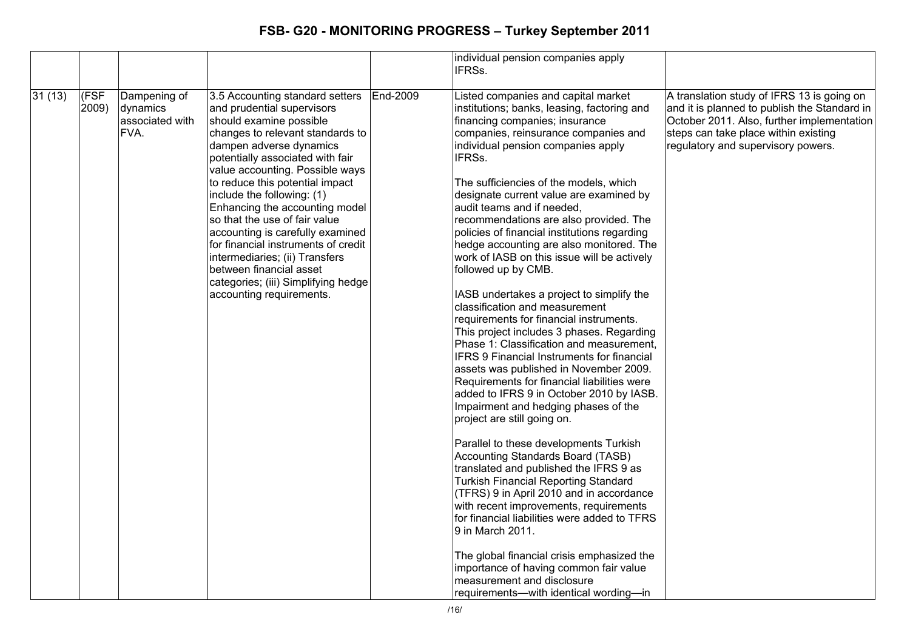|        |               |                                                     |                                                                                                                                                                                                                                                                                                                                                                                                                                                                                                                                                                               |          | individual pension companies apply<br>IFRSs.                                                                                                                                                                                                                                                                                                                                                                                                                                                                                                                                                                                                                                                                                                                                                                                                                                                                                                                                                                                                                                                                                                                                                                                                                                                                                                                                                                                                                                                                               |                                                                                                                                                                                                                        |
|--------|---------------|-----------------------------------------------------|-------------------------------------------------------------------------------------------------------------------------------------------------------------------------------------------------------------------------------------------------------------------------------------------------------------------------------------------------------------------------------------------------------------------------------------------------------------------------------------------------------------------------------------------------------------------------------|----------|----------------------------------------------------------------------------------------------------------------------------------------------------------------------------------------------------------------------------------------------------------------------------------------------------------------------------------------------------------------------------------------------------------------------------------------------------------------------------------------------------------------------------------------------------------------------------------------------------------------------------------------------------------------------------------------------------------------------------------------------------------------------------------------------------------------------------------------------------------------------------------------------------------------------------------------------------------------------------------------------------------------------------------------------------------------------------------------------------------------------------------------------------------------------------------------------------------------------------------------------------------------------------------------------------------------------------------------------------------------------------------------------------------------------------------------------------------------------------------------------------------------------------|------------------------------------------------------------------------------------------------------------------------------------------------------------------------------------------------------------------------|
| 31(13) | (FSF<br>2009) | Dampening of<br>dynamics<br>associated with<br>FVA. | 3.5 Accounting standard setters<br>and prudential supervisors<br>should examine possible<br>changes to relevant standards to<br>dampen adverse dynamics<br>potentially associated with fair<br>value accounting. Possible ways<br>to reduce this potential impact<br>include the following: (1)<br>Enhancing the accounting model<br>so that the use of fair value<br>accounting is carefully examined<br>for financial instruments of credit<br>intermediaries; (ii) Transfers<br>between financial asset<br>categories; (iii) Simplifying hedge<br>accounting requirements. | End-2009 | Listed companies and capital market<br>institutions; banks, leasing, factoring and<br>financing companies; insurance<br>companies, reinsurance companies and<br>individual pension companies apply<br>IFRSs.<br>The sufficiencies of the models, which<br>designate current value are examined by<br>audit teams and if needed.<br>recommendations are also provided. The<br>policies of financial institutions regarding<br>hedge accounting are also monitored. The<br>work of IASB on this issue will be actively<br>followed up by CMB.<br>IASB undertakes a project to simplify the<br>classification and measurement<br>requirements for financial instruments.<br>This project includes 3 phases. Regarding<br>Phase 1: Classification and measurement,<br>IFRS 9 Financial Instruments for financial<br>assets was published in November 2009.<br>Requirements for financial liabilities were<br>added to IFRS 9 in October 2010 by IASB.<br>Impairment and hedging phases of the<br>project are still going on.<br>Parallel to these developments Turkish<br>Accounting Standards Board (TASB)<br>translated and published the IFRS 9 as<br><b>Turkish Financial Reporting Standard</b><br>(TFRS) 9 in April 2010 and in accordance<br>with recent improvements, requirements<br>for financial liabilities were added to TFRS<br>9 in March 2011.<br>The global financial crisis emphasized the<br>importance of having common fair value<br>measurement and disclosure<br>requirements-with identical wording-in | A translation study of IFRS 13 is going on<br>and it is planned to publish the Standard in<br>October 2011. Also, further implementation<br>steps can take place within existing<br>regulatory and supervisory powers. |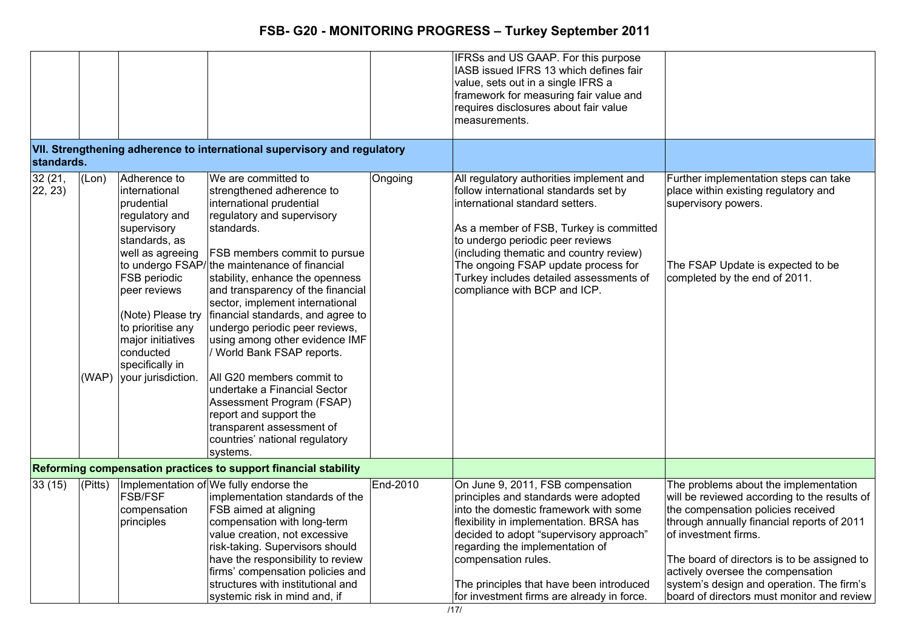|                   |             |                                                                                                                                                                                                                                                                              |                                                                                                                                                                                                                                                                                                                                                                                                                                                                                                                                                                                                                                                                  |          | IFRSs and US GAAP. For this purpose<br>IASB issued IFRS 13 which defines fair<br>value, sets out in a single IFRS a<br>framework for measuring fair value and<br>requires disclosures about fair value<br>measurements.                                                                                                                                          |                                                                                                                                                                                                                                                                                                                                                                                  |
|-------------------|-------------|------------------------------------------------------------------------------------------------------------------------------------------------------------------------------------------------------------------------------------------------------------------------------|------------------------------------------------------------------------------------------------------------------------------------------------------------------------------------------------------------------------------------------------------------------------------------------------------------------------------------------------------------------------------------------------------------------------------------------------------------------------------------------------------------------------------------------------------------------------------------------------------------------------------------------------------------------|----------|------------------------------------------------------------------------------------------------------------------------------------------------------------------------------------------------------------------------------------------------------------------------------------------------------------------------------------------------------------------|----------------------------------------------------------------------------------------------------------------------------------------------------------------------------------------------------------------------------------------------------------------------------------------------------------------------------------------------------------------------------------|
| standards.        |             |                                                                                                                                                                                                                                                                              | VII. Strengthening adherence to international supervisory and regulatory                                                                                                                                                                                                                                                                                                                                                                                                                                                                                                                                                                                         |          |                                                                                                                                                                                                                                                                                                                                                                  |                                                                                                                                                                                                                                                                                                                                                                                  |
| 32(21,<br>22, 23) | (Lon)       | Adherence to<br>international<br>prudential<br>regulatory and<br>supervisory<br>standards, as<br>well as agreeing<br>FSB periodic<br>peer reviews<br>(Note) Please try<br>to prioritise any<br>major initiatives<br>conducted<br>specifically in<br>(WAP) your jurisdiction. | We are committed to<br>strengthened adherence to<br>international prudential<br>regulatory and supervisory<br>standards.<br><b>FSB members commit to pursue</b><br>to undergo FSAP/the maintenance of financial<br>stability, enhance the openness<br>and transparency of the financial<br>sector, implement international<br>financial standards, and agree to<br>undergo periodic peer reviews,<br>using among other evidence IMF<br>/ World Bank FSAP reports.<br>All G20 members commit to<br>undertake a Financial Sector<br>Assessment Program (FSAP)<br>report and support the<br>transparent assessment of<br>countries' national regulatory<br>systems. | Ongoing  | All regulatory authorities implement and<br>follow international standards set by<br>international standard setters.<br>As a member of FSB, Turkey is committed<br>to undergo periodic peer reviews<br>(including thematic and country review)<br>The ongoing FSAP update process for<br>Turkey includes detailed assessments of<br>compliance with BCP and ICP. | Further implementation steps can take<br>place within existing regulatory and<br>supervisory powers.<br>The FSAP Update is expected to be<br>completed by the end of 2011.                                                                                                                                                                                                       |
|                   |             |                                                                                                                                                                                                                                                                              | Reforming compensation practices to support financial stability                                                                                                                                                                                                                                                                                                                                                                                                                                                                                                                                                                                                  |          |                                                                                                                                                                                                                                                                                                                                                                  |                                                                                                                                                                                                                                                                                                                                                                                  |
| 33(15)            | $ $ (Pitts) | <b>FSB/FSF</b><br>compensation<br>principles                                                                                                                                                                                                                                 | Implementation of We fully endorse the<br>implementation standards of the<br><b>FSB</b> aimed at aligning<br>compensation with long-term<br>value creation, not excessive<br>risk-taking. Supervisors should<br>have the responsibility to review<br>firms' compensation policies and<br>structures with institutional and<br>systemic risk in mind and, if                                                                                                                                                                                                                                                                                                      | End-2010 | On June 9, 2011, FSB compensation<br>principles and standards were adopted<br>into the domestic framework with some<br>flexibility in implementation. BRSA has<br>decided to adopt "supervisory approach"<br>regarding the implementation of<br>compensation rules.<br>The principles that have been introduced<br>for investment firms are already in force.    | The problems about the implementation<br>will be reviewed according to the results of<br>the compensation policies received<br>through annually financial reports of 2011<br>of investment firms.<br>The board of directors is to be assigned to<br>actively oversee the compensation<br>system's design and operation. The firm's<br>board of directors must monitor and review |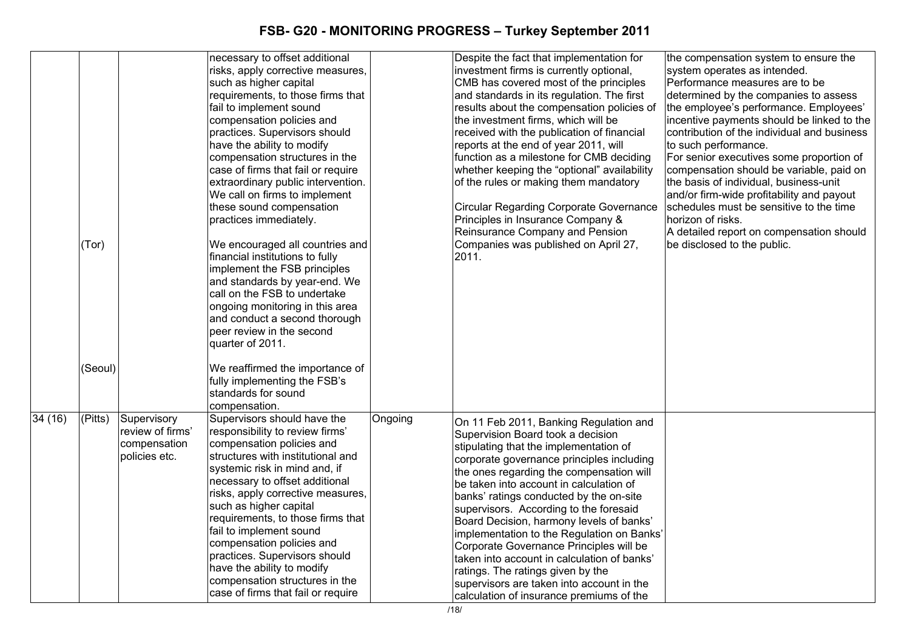|        |         |                  | necessary to offset additional     |         | Despite the fact that implementation for       | the compensation system to ensure the       |
|--------|---------|------------------|------------------------------------|---------|------------------------------------------------|---------------------------------------------|
|        |         |                  | risks, apply corrective measures,  |         | investment firms is currently optional,        | system operates as intended.                |
|        |         |                  | such as higher capital             |         | CMB has covered most of the principles         | Performance measures are to be              |
|        |         |                  | requirements, to those firms that  |         | and standards in its regulation. The first     | determined by the companies to assess       |
|        |         |                  | fail to implement sound            |         | results about the compensation policies of     | the employee's performance. Employees'      |
|        |         |                  | compensation policies and          |         | the investment firms, which will be            | incentive payments should be linked to the  |
|        |         |                  | practices. Supervisors should      |         | received with the publication of financial     | contribution of the individual and business |
|        |         |                  | have the ability to modify         |         | reports at the end of year 2011, will          | to such performance.                        |
|        |         |                  | compensation structures in the     |         | function as a milestone for CMB deciding       | For senior executives some proportion of    |
|        |         |                  | case of firms that fail or require |         | whether keeping the "optional" availability    | compensation should be variable, paid on    |
|        |         |                  | extraordinary public intervention. |         | of the rules or making them mandatory          | the basis of individual, business-unit      |
|        |         |                  | We call on firms to implement      |         |                                                | and/or firm-wide profitability and payout   |
|        |         |                  | these sound compensation           |         | <b>Circular Regarding Corporate Governance</b> | schedules must be sensitive to the time     |
|        |         |                  | practices immediately.             |         | Principles in Insurance Company &              | horizon of risks.                           |
|        |         |                  |                                    |         | Reinsurance Company and Pension                | A detailed report on compensation should    |
|        | (Tor)   |                  | We encouraged all countries and    |         | Companies was published on April 27,           | be disclosed to the public.                 |
|        |         |                  | financial institutions to fully    |         | 2011.                                          |                                             |
|        |         |                  | implement the FSB principles       |         |                                                |                                             |
|        |         |                  | and standards by year-end. We      |         |                                                |                                             |
|        |         |                  | call on the FSB to undertake       |         |                                                |                                             |
|        |         |                  | ongoing monitoring in this area    |         |                                                |                                             |
|        |         |                  | and conduct a second thorough      |         |                                                |                                             |
|        |         |                  | peer review in the second          |         |                                                |                                             |
|        |         |                  | quarter of 2011.                   |         |                                                |                                             |
|        |         |                  |                                    |         |                                                |                                             |
|        | (Seoul) |                  | We reaffirmed the importance of    |         |                                                |                                             |
|        |         |                  | fully implementing the FSB's       |         |                                                |                                             |
|        |         |                  | standards for sound                |         |                                                |                                             |
|        |         |                  | compensation.                      |         |                                                |                                             |
| 34(16) | (Pitts) | Supervisory      | Supervisors should have the        | Ongoing |                                                |                                             |
|        |         | review of firms' | responsibility to review firms'    |         | On 11 Feb 2011, Banking Regulation and         |                                             |
|        |         | compensation     | compensation policies and          |         | Supervision Board took a decision              |                                             |
|        |         | policies etc.    | structures with institutional and  |         | stipulating that the implementation of         |                                             |
|        |         |                  | systemic risk in mind and, if      |         | corporate governance principles including      |                                             |
|        |         |                  | necessary to offset additional     |         | the ones regarding the compensation will       |                                             |
|        |         |                  | risks, apply corrective measures,  |         | be taken into account in calculation of        |                                             |
|        |         |                  | such as higher capital             |         | banks' ratings conducted by the on-site        |                                             |
|        |         |                  | requirements, to those firms that  |         | supervisors. According to the foresaid         |                                             |
|        |         |                  | fail to implement sound            |         | Board Decision, harmony levels of banks'       |                                             |
|        |         |                  | compensation policies and          |         | implementation to the Regulation on Banks'     |                                             |
|        |         |                  | practices. Supervisors should      |         | Corporate Governance Principles will be        |                                             |
|        |         |                  | have the ability to modify         |         | taken into account in calculation of banks'    |                                             |
|        |         |                  | compensation structures in the     |         | ratings. The ratings given by the              |                                             |
|        |         |                  | case of firms that fail or require |         | supervisors are taken into account in the      |                                             |
|        |         |                  |                                    |         | calculation of insurance premiums of the       |                                             |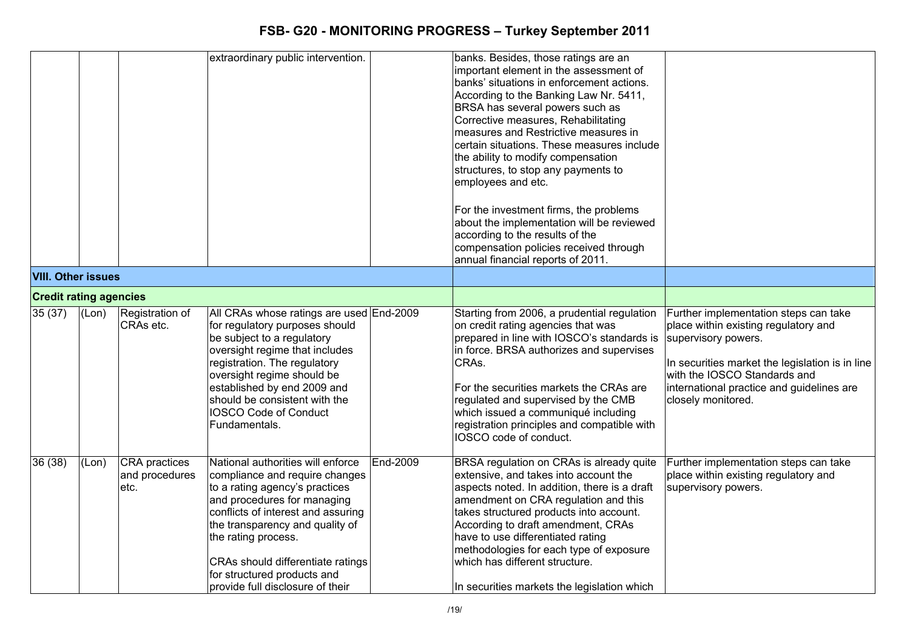|                               |       |                                                 | extraordinary public intervention.                                                                                                                                                                                                                                                                                                           |          | banks. Besides, those ratings are an<br>important element in the assessment of<br>banks' situations in enforcement actions.<br>According to the Banking Law Nr. 5411,<br>BRSA has several powers such as<br>Corrective measures, Rehabilitating<br>measures and Restrictive measures in<br>certain situations. These measures include<br>the ability to modify compensation<br>structures, to stop any payments to<br>employees and etc.<br>For the investment firms, the problems<br>about the implementation will be reviewed<br>according to the results of the<br>compensation policies received through<br>annual financial reports of 2011. |                                                                                                                                                                                                                                                            |
|-------------------------------|-------|-------------------------------------------------|----------------------------------------------------------------------------------------------------------------------------------------------------------------------------------------------------------------------------------------------------------------------------------------------------------------------------------------------|----------|---------------------------------------------------------------------------------------------------------------------------------------------------------------------------------------------------------------------------------------------------------------------------------------------------------------------------------------------------------------------------------------------------------------------------------------------------------------------------------------------------------------------------------------------------------------------------------------------------------------------------------------------------|------------------------------------------------------------------------------------------------------------------------------------------------------------------------------------------------------------------------------------------------------------|
| <b>VIII. Other issues</b>     |       |                                                 |                                                                                                                                                                                                                                                                                                                                              |          |                                                                                                                                                                                                                                                                                                                                                                                                                                                                                                                                                                                                                                                   |                                                                                                                                                                                                                                                            |
| <b>Credit rating agencies</b> |       |                                                 |                                                                                                                                                                                                                                                                                                                                              |          |                                                                                                                                                                                                                                                                                                                                                                                                                                                                                                                                                                                                                                                   |                                                                                                                                                                                                                                                            |
| 35(37)                        | (Lon) | Registration of<br>CRA <sub>s</sub> etc.        | All CRAs whose ratings are used End-2009<br>for regulatory purposes should<br>be subject to a regulatory<br>oversight regime that includes<br>registration. The regulatory<br>oversight regime should be<br>established by end 2009 and<br>should be consistent with the<br><b>IOSCO Code of Conduct</b><br>Fundamentals.                    |          | Starting from 2006, a prudential regulation<br>on credit rating agencies that was<br>prepared in line with IOSCO's standards is<br>in force. BRSA authorizes and supervises<br>CRAs.<br>For the securities markets the CRAs are<br>regulated and supervised by the CMB<br>which issued a communiqué including<br>registration principles and compatible with<br>IOSCO code of conduct.                                                                                                                                                                                                                                                            | Further implementation steps can take<br>place within existing regulatory and<br>supervisory powers.<br>In securities market the legislation is in line<br>with the IOSCO Standards and<br>international practice and guidelines are<br>closely monitored. |
| 36(38)                        | (Lon) | <b>CRA</b> practices<br>and procedures<br>letc. | National authorities will enforce<br>compliance and require changes<br>to a rating agency's practices<br>and procedures for managing<br>conflicts of interest and assuring<br>the transparency and quality of<br>the rating process.<br>CRAs should differentiate ratings<br>for structured products and<br>provide full disclosure of their | End-2009 | BRSA regulation on CRAs is already quite<br>extensive, and takes into account the<br>aspects noted. In addition, there is a draft<br>amendment on CRA regulation and this<br>takes structured products into account.<br>According to draft amendment, CRAs<br>have to use differentiated rating<br>methodologies for each type of exposure<br>which has different structure.<br>In securities markets the legislation which                                                                                                                                                                                                                       | Further implementation steps can take<br>place within existing regulatory and<br>supervisory powers.                                                                                                                                                       |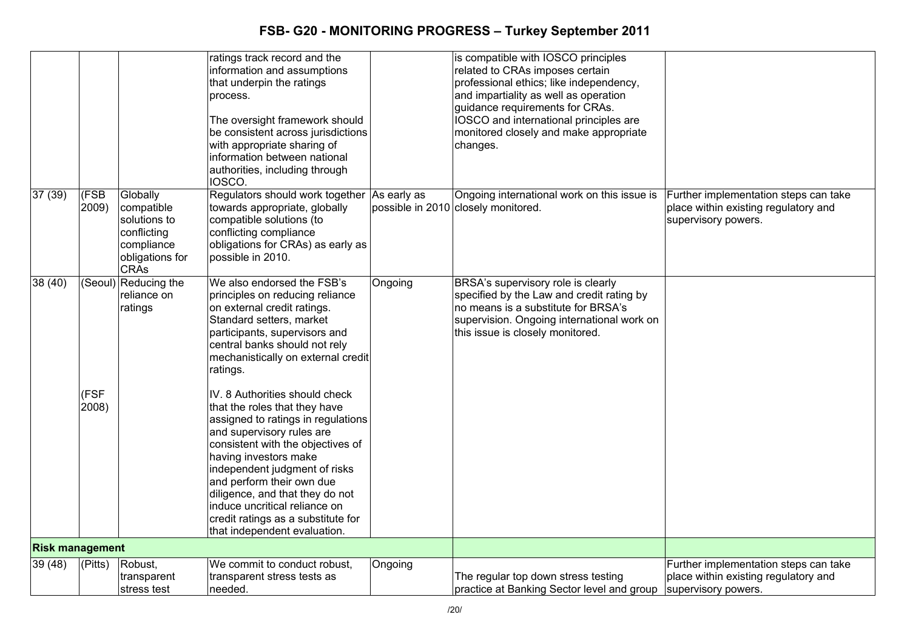|                        |             |                      | ratings track record and the<br>information and assumptions |         | is compatible with IOSCO principles                                      |                                       |
|------------------------|-------------|----------------------|-------------------------------------------------------------|---------|--------------------------------------------------------------------------|---------------------------------------|
|                        |             |                      |                                                             |         | related to CRAs imposes certain                                          |                                       |
|                        |             |                      | that underpin the ratings                                   |         | professional ethics; like independency,                                  |                                       |
|                        |             |                      | process.                                                    |         | and impartiality as well as operation<br>guidance requirements for CRAs. |                                       |
|                        |             |                      |                                                             |         |                                                                          |                                       |
|                        |             |                      | The oversight framework should                              |         | IOSCO and international principles are                                   |                                       |
|                        |             |                      | be consistent across jurisdictions                          |         | monitored closely and make appropriate                                   |                                       |
|                        |             |                      | with appropriate sharing of                                 |         | changes.                                                                 |                                       |
|                        |             |                      | information between national                                |         |                                                                          |                                       |
|                        |             |                      | authorities, including through<br>IOSCO.                    |         |                                                                          |                                       |
| 37(39)                 | (FSB        | Globally             | Regulators should work together As early as                 |         | Ongoing international work on this issue is                              | Further implementation steps can take |
|                        | 2009)       | compatible           | towards appropriate, globally                               |         | possible in 2010 closely monitored.                                      | place within existing regulatory and  |
|                        |             | solutions to         | compatible solutions (to                                    |         |                                                                          | supervisory powers.                   |
|                        |             | conflicting          | conflicting compliance                                      |         |                                                                          |                                       |
|                        |             | compliance           | obligations for CRAs) as early as                           |         |                                                                          |                                       |
|                        |             | obligations for      | possible in 2010.                                           |         |                                                                          |                                       |
|                        |             | <b>CRAs</b>          |                                                             |         |                                                                          |                                       |
| 38 (40)                |             | (Seoul) Reducing the | We also endorsed the FSB's                                  | Ongoing | BRSA's supervisory role is clearly                                       |                                       |
|                        |             | reliance on          | principles on reducing reliance                             |         | specified by the Law and credit rating by                                |                                       |
|                        |             | ratings              | on external credit ratings.                                 |         | no means is a substitute for BRSA's                                      |                                       |
|                        |             |                      | Standard setters, market                                    |         | supervision. Ongoing international work on                               |                                       |
|                        |             |                      | participants, supervisors and                               |         | this issue is closely monitored.                                         |                                       |
|                        |             |                      | central banks should not rely                               |         |                                                                          |                                       |
|                        |             |                      | mechanistically on external credit                          |         |                                                                          |                                       |
|                        |             |                      | ratings.                                                    |         |                                                                          |                                       |
|                        | (FSF        |                      | IV. 8 Authorities should check                              |         |                                                                          |                                       |
|                        | 2008)       |                      | that the roles that they have                               |         |                                                                          |                                       |
|                        |             |                      | assigned to ratings in regulations                          |         |                                                                          |                                       |
|                        |             |                      | and supervisory rules are                                   |         |                                                                          |                                       |
|                        |             |                      | consistent with the objectives of                           |         |                                                                          |                                       |
|                        |             |                      | having investors make                                       |         |                                                                          |                                       |
|                        |             |                      | independent judgment of risks                               |         |                                                                          |                                       |
|                        |             |                      | and perform their own due                                   |         |                                                                          |                                       |
|                        |             |                      | diligence, and that they do not                             |         |                                                                          |                                       |
|                        |             |                      | induce uncritical reliance on                               |         |                                                                          |                                       |
|                        |             |                      | credit ratings as a substitute for                          |         |                                                                          |                                       |
|                        |             |                      | that independent evaluation.                                |         |                                                                          |                                       |
| <b>Risk management</b> |             |                      |                                                             |         |                                                                          |                                       |
| 39 (48)                | $ $ (Pitts) | Robust,              | We commit to conduct robust,                                | Ongoing |                                                                          | Further implementation steps can take |
|                        |             | transparent          | transparent stress tests as                                 |         | The regular top down stress testing                                      | place within existing regulatory and  |
|                        |             | stress test          | needed.                                                     |         | practice at Banking Sector level and group                               | supervisory powers.                   |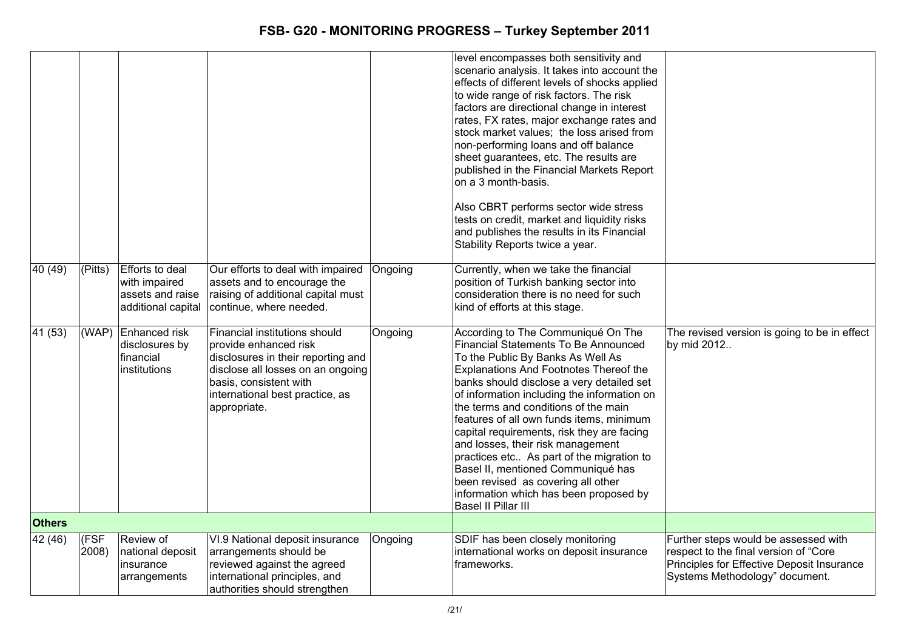|               |               |                                                                                   |                                                                                                                                                                                                                |         | level encompasses both sensitivity and<br>scenario analysis. It takes into account the<br>effects of different levels of shocks applied<br>to wide range of risk factors. The risk<br>factors are directional change in interest<br>rates, FX rates, major exchange rates and<br>stock market values; the loss arised from<br>non-performing loans and off balance<br>sheet guarantees, etc. The results are<br>published in the Financial Markets Report<br>on a 3 month-basis.<br>Also CBRT performs sector wide stress<br>tests on credit, market and liquidity risks<br>and publishes the results in its Financial<br>Stability Reports twice a year. |                                                                                                                                                               |
|---------------|---------------|-----------------------------------------------------------------------------------|----------------------------------------------------------------------------------------------------------------------------------------------------------------------------------------------------------------|---------|-----------------------------------------------------------------------------------------------------------------------------------------------------------------------------------------------------------------------------------------------------------------------------------------------------------------------------------------------------------------------------------------------------------------------------------------------------------------------------------------------------------------------------------------------------------------------------------------------------------------------------------------------------------|---------------------------------------------------------------------------------------------------------------------------------------------------------------|
| 40 (49)       | (Pitts)       | <b>Efforts to deal</b><br>with impaired<br>assets and raise<br>additional capital | Our efforts to deal with impaired<br>assets and to encourage the<br>raising of additional capital must<br>continue, where needed.                                                                              | Ongoing | Currently, when we take the financial<br>position of Turkish banking sector into<br>consideration there is no need for such<br>kind of efforts at this stage.                                                                                                                                                                                                                                                                                                                                                                                                                                                                                             |                                                                                                                                                               |
| 41 (53)       | (WAP)         | Enhanced risk<br>disclosures by<br>financial<br>institutions                      | Financial institutions should<br>provide enhanced risk<br>disclosures in their reporting and<br>disclose all losses on an ongoing<br>basis, consistent with<br>international best practice, as<br>appropriate. | Ongoing | According to The Communiqué On The<br><b>Financial Statements To Be Announced</b><br>To the Public By Banks As Well As<br>Explanations And Footnotes Thereof the<br>banks should disclose a very detailed set<br>of information including the information on<br>the terms and conditions of the main<br>features of all own funds items, minimum<br>capital requirements, risk they are facing<br>and losses, their risk management<br>practices etc As part of the migration to<br>Basel II, mentioned Communiqué has<br>been revised as covering all other<br>information which has been proposed by<br>Basel II Pillar III                             | The revised version is going to be in effect<br>by mid 2012                                                                                                   |
| <b>Others</b> |               |                                                                                   |                                                                                                                                                                                                                |         |                                                                                                                                                                                                                                                                                                                                                                                                                                                                                                                                                                                                                                                           |                                                                                                                                                               |
| 42 (46)       | (FSF<br>2008) | Review of<br>national deposit<br>insurance<br>arrangements                        | VI.9 National deposit insurance<br>arrangements should be<br>reviewed against the agreed<br>international principles, and<br>authorities should strengthen                                                     | Ongoing | SDIF has been closely monitoring<br>international works on deposit insurance<br>frameworks.                                                                                                                                                                                                                                                                                                                                                                                                                                                                                                                                                               | Further steps would be assessed with<br>respect to the final version of "Core<br>Principles for Effective Deposit Insurance<br>Systems Methodology" document. |